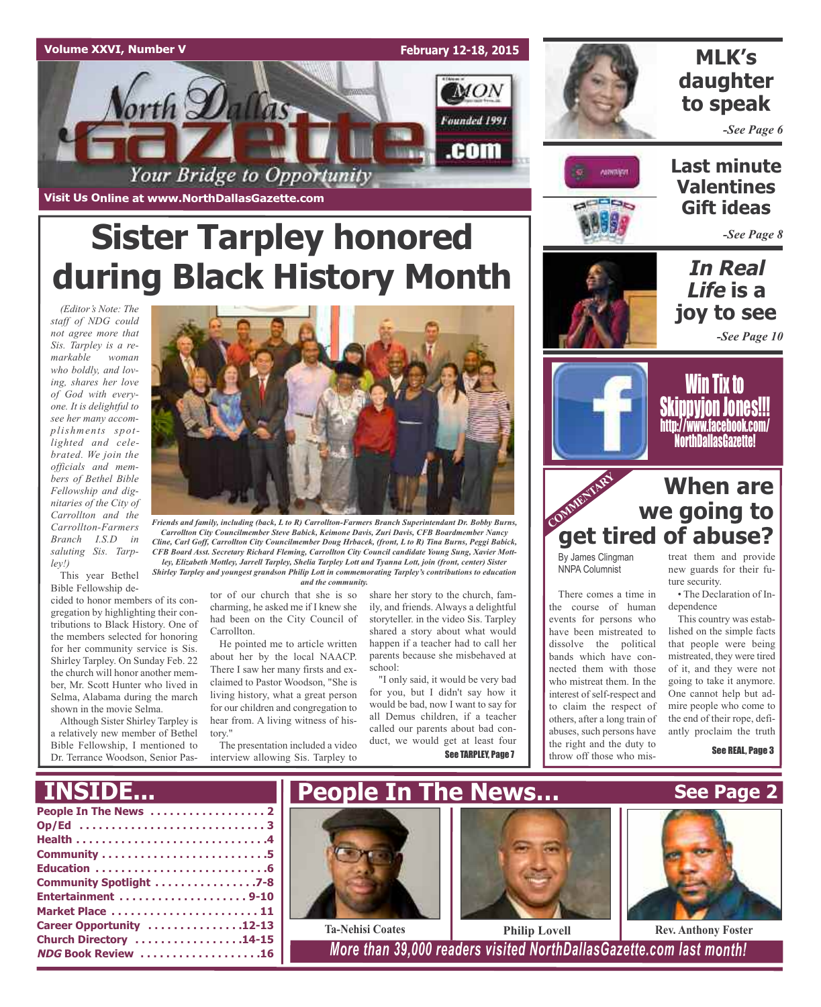

**Visit Us Online at www.NorthDallasGazette.com**

# **Sister Tarpley honored during Black History Month**

*(Editor's Note: The staff of NDG could not agree more that Sis. Tarpley is a remarkable woman who boldly, and loving, shares her love of God with everyone. It is delightful to see her many accomplishments spotlighted and celebrated. We join the officials and members of Bethel Bible Fellowship and dignitaries of the City of Carrollton and the Carrollton-Farmers Branch I.S.D in saluting Sis. Tarpley!)*

This year Bethel Bible Fellowship de-

cided to honor members of its congregation by highlighting their contributions to Black History. One of the members selected for honoring for her community service is Sis. Shirley Tarpley. On Sunday Feb. 22 the church will honor another member, Mr. Scott Hunter who lived in Selma, Alabama during the march shown in the movie Selma.

Although Sister Shirley Tarpley is a relatively new member of Bethel Bible Fellowship, I mentioned to Dr. Terrance Woodson, Senior Pas-



*Friends and family, including (back, L to R) Carrollton-Farmers Branch Superintendant Dr. Bobby Burns, Carrollton City Councilmember Steve Babick, Keimone Davis, Zuri Davis, CFB Boardmember Nancy Cline, Carl Goff, Carrollton City Councilmember Doug Hrbacek, (front, L to R) Tina Burns, Peggi Babick, CFB Board Asst. Secretary Richard Fleming, Carrollton City Council candidate Young Sung, Xavier Mottley, Elizabeth Mottley, Jarrell Tarpley, Shelia Tarpley Lott and Tyanna Lott, join (front, center) Sister Shirley Tarpley and youngest grandson Philip Lott in commemorating Tarpley's contributions to education and the community.*

> tor of our church that she is so charming, he asked me if I knew she had been on the City Council of Carrollton.

He pointed me to article written about her by the local NAACP. There I saw her many firsts and exclaimed to Pastor Woodson, "She is living history, what a great person for our children and congregation to hear from. A living witness of history."

The presentation included a video interview allowing Sis. Tarpley to

share her story to the church, family, and friends. Always a delightful storyteller. in the video Sis. Tarpley shared a story about what would happen if a teacher had to call her parents because she misbehaved at school:

"I only said, it would be very bad for you, but I didn't say how it would be bad, now I want to say for all Demus children, if a teacher called our parents about bad conduct, we would get at least four See TARPLEY, Page 7

# **MLK's daughter to speak**

*-See Page 6*



**Last minute Valentines Gift ideas**

*-See Page 8*

**In Real Life is a joy to see** *-See Page 10*



Win Tix to Skippyjon Jones!!! http://www.facebook.com/ NorthDallasGazette!

# COMMENTARY **When are we going to get tired of abuse?**

By James Clingman NNPA Columnist

There comes a time in the course of human events for persons who have been mistreated to dissolve the political bands which have connected them with those who mistreat them. In the interest of self-respect and to claim the respect of others, after a long train of abuses, such persons have the right and the duty to throw off those who mis-

treat them and provide new guards for their future security.

• The Declaration of Independence

This country was established on the simple facts that people were being mistreated, they were tired of it, and they were not going to take it anymore. One cannot help but admire people who come to the end of their rope, defiantly proclaim the truth

See REAL, Page 3

**See Page 2**

# **INSID**

| Community Spotlight 7-8  |
|--------------------------|
| Entertainment 9-10       |
| Market Place  11         |
| Career Opportunity 12-13 |
| Church Directory 14-15   |
| NDG Book Review 16       |
|                          |







**NDG Book Review . . . . . . . . . . . . . . . . . . .16** *More than 39,000 readers visited NorthDallasGazette.com last month!*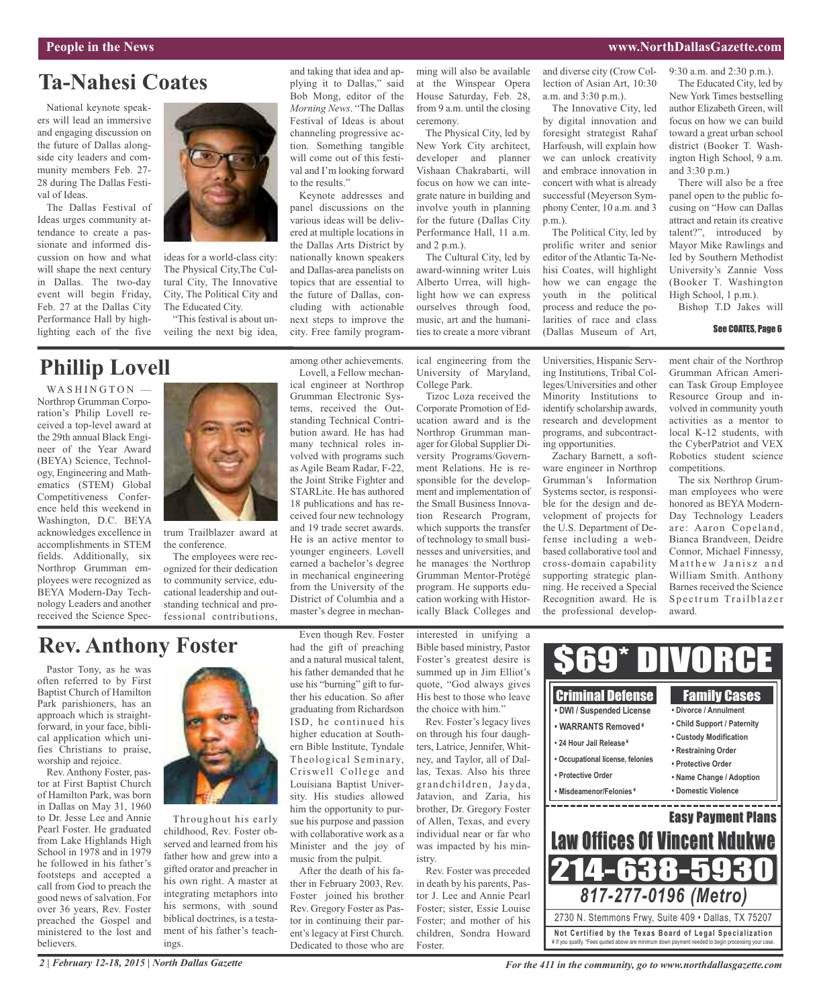### **People in the News www.NorthDallasGazette.com**

# **Ta-Nahesi Coates**

National keynote speakers will lead an immersive and engaging discussion on the future of Dallas alongside city leaders and community members Feb. 27- 28 during The Dallas Festival of Ideas.

The Dallas Festival of Ideas urges community attendance to create a passionate and informed discussion on how and what will shape the next century in Dallas. The two-day event will begin Friday, Feb. 27 at the Dallas City Performance Hall by highlighting each of the five



# **Phillip Lovell**

WASHINGTON Northrop Grumman Corporation's Philip Lovell received a top-level award at the 29th annual Black Engineer of the Year Award (BEYA) Science, Technology, Engineering and Mathematics (STEM) Global Competitiveness Conference held this weekend in Washington, D.C. BEYA acknowledges excellence in accomplishments in STEM fields. Additionally, six Northrop Grumman employees were recognized as BEYA Modern-Day Technology Leaders and another received the Science Spec-



ideas for a world-class city: The Physical City,The Cultural City, The Innovative City, The Political City and The Educated City.

trum Trailblazer award at the conference.

The employees were recognized for their dedication to community service, educational leadership and outstanding technical and professional contributions,

and taking that idea and applying it to Dallas," said Bob Mong, editor of the *Morning News*. "The Dallas Festival of Ideas is about channeling progressive action. Something tangible will come out of this festival and I'm looking forward to the results."

Keynote addresses and panel discussions on the various ideas will be delivered at multiple locations in the Dallas Arts District by nationally known speakers and Dallas-area panelists on topics that are essential to the future of Dallas, concluding with actionable next steps to improve the city. Free family program-

among other achievements. Lovell, a Fellow mechan-

as Agile Beam Radar, F-22, the Joint Strike Fighter and STARLite. He has authored 18 publications and has received four new technology and 19 trade secret awards. He is an active mentor to younger engineers. Lovell earned a bachelor's degree in mechanical engineering from the University of the District of Columbia and a master's degree in mechanming will also be available at the Winspear Opera House Saturday, Feb. 28, from 9 a.m. until the closing ceremony.

The Physical City, led by New York City architect, developer and planner Vishaan Chakrabarti, will focus on how we can integrate nature in building and involve youth in planning for the future (Dallas City Performance Hall, 11 a.m. and 2 p.m.).

The Cultural City, led by award-winning writer Luis Alberto Urrea, will highlight how we can express ourselves through food, music, art and the humanities to create a more vibrant

ical engineering from the University of Maryland, College Park.

Tizoc Loza received the Corporate Promotion of Education award and is the Northrop Grumman manager for Global Supplier Diversity Programs/Government Relations. He is responsible for the development and implementation of the Small Business Innovation Research Program, which supports the transfer of technology to small businesses and universities, and he manages the Northrop Grumman Mentor-Protégé program. He supports education working with Historically Black Colleges and

and diverse city (Crow Collection of Asian Art, 10:30 a.m. and 3:30 p.m.).

The Innovative City, led by digital innovation and foresight strategist Rahaf Harfoush, will explain how we can unlock creativity and embrace innovation in concert with what is already successful (Meyerson Symphony Center, 10 a.m. and 3 p.m.).

The Political City, led by prolific writer and senior editor of the Atlantic Ta-Nehisi Coates, will highlight how we can engage the youth in the political process and reduce the polarities of race and class (Dallas Museum of Art,

Universities, Hispanic Serving Institutions, Tribal Colleges/Universities and other Minority Institutions to identify scholarship awards, research and development programs, and subcontract-

Zachary Barnett, a software engineer in Northrop Grumman's Information Systems sector, is responsible for the design and development of projects for the U.S. Department of Defense including a webbased collaborative tool and cross-domain capability supporting strategic planning. He received a Special Recognition award. He is the professional develop-

ing opportunities.

The Educated City, led by New York Times bestselling author Elizabeth Green, will focus on how we can build toward a great urban school district (Booker T. Washington High School, 9 a.m. and 3:30 p.m.)

9:30 a.m. and 2:30 p.m.).

There will also be a free panel open to the public focusing on "How can Dallas attract and retain its creative talent?", introduced by Mayor Mike Rawlings and led by Southern Methodist University's Zannie Voss (Booker T. Washington High School, 1 p.m.).

Bishop T.D Jakes will

### See COATES, Page 6

ment chair of the Northrop Grumman African American Task Group Employee Resource Group and involved in community youth activities as a mentor to local K-12 students, with the CyberPatriot and VEX Robotics student science competitions.

The six Northrop Grumman employees who were honored as BEYA Modern-Day Technology Leaders are: Aaron Copeland, Bianca Brandveen, Deidre Connor, Michael Finnessy, Matthew Janisz and William Smith. Anthony Barnes received the Science Spectrum Trailblazer award.

# **Rev. Anthony Foster**

Pastor Tony, as he was often referred to by First Baptist Church of Hamilton Park parishioners, has an approach which is straightforward, in your face, biblical application which unifies Christians to praise, worship and rejoice.

Rev. Anthony Foster, pastor at First Baptist Church of Hamilton Park, was born in Dallas on May 31, 1960 to Dr. Jesse Lee and Annie Pearl Foster. He graduated from Lake Highlands High School in 1978 and in 1979 he followed in his father's footsteps and accepted a call from God to preach the good news of salvation. For over 36 years, Rev. Foster preached the Gospel and ministered to the lost and believers.



Throughout his early childhood, Rev. Foster observed and learned from his father how and grew into a gifted orator and preacher in his own right. A master at integrating metaphors into his sermons, with sound biblical doctrines, is a testament of his father's teachings.

Even though Rev. Foster had the gift of preaching and a natural musical talent, his father demanded that he use his "burning" gift to further his education. So after graduating from Richardson ISD, he continued his higher education at Southern Bible Institute, Tyndale Theological Seminary, Criswell College and Louisiana Baptist University. His studies allowed him the opportunity to pursue his purpose and passion with collaborative work as a Minister and the joy of music from the pulpit.

After the death of his father in February 2003, Rev. Foster joined his brother Rev. Gregory Foster as Pastor in continuing their parent's legacy at First Church. Dedicated to those who are interested in unifying a Bible based ministry, Pastor Foster's greatest desire is summed up in Jim Elliot's quote, "God always gives His best to those who leave the choice with him."

Rev. Foster's legacy lives on through his four daughters, Latrice, Jennifer, Whitney, and Taylor, all of Dallas, Texas. Also his three grandchildren, Jayda, Jatavion, and Zaria, his brother, Dr. Gregory Foster of Allen, Texas, and every individual near or far who was impacted by his ministry.

Rev. Foster was preceded in death by his parents, Pastor J. Lee and Annie Pearl Foster; sister, Essie Louise Foster; and mother of his children, Sondra Howard Foster.



*For the 411 in the community, go to www.northdallasgazette.com*

ical engineer at Northrop Grumman Electronic Systems, received the Outstanding Technical Contribution award. He has had many technical roles involved with programs such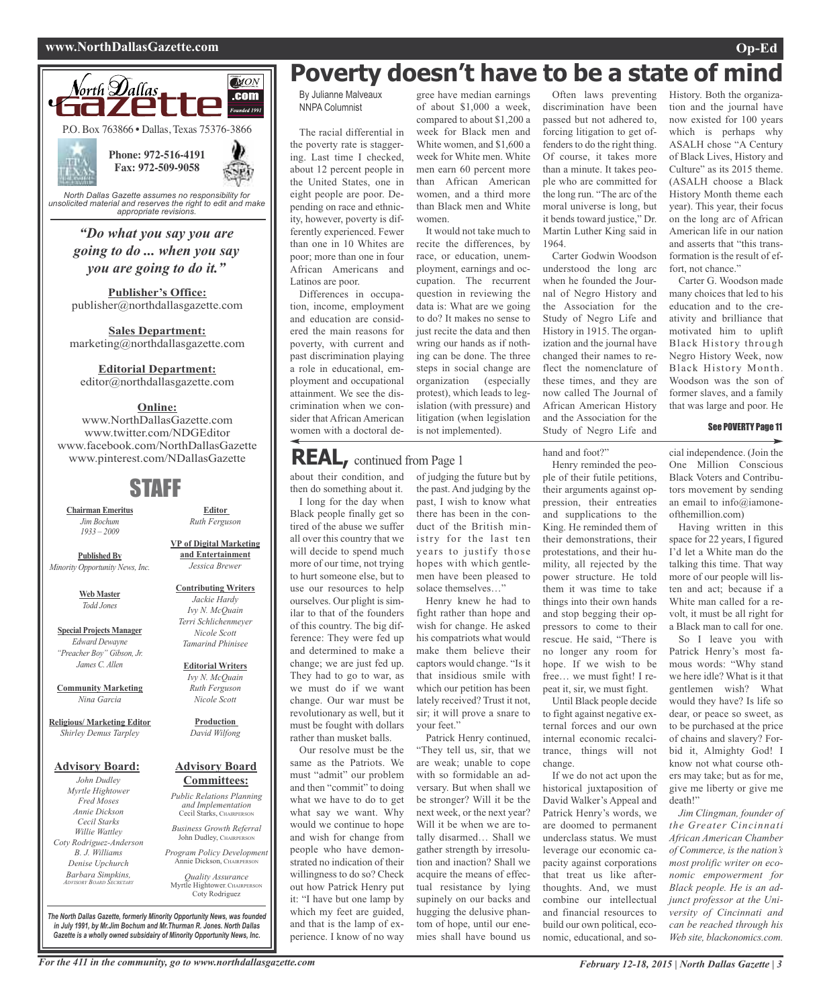### **www.NorthDallasGazette.com Op-Ed**



*unsolicited material and reserves the right to edit and make appropriate revisions.*

# *"Do what you say you are going to do ... when you say you are going to do it."*

**Publisher's Office:** publisher@northdallasgazette.com

**Sales Department:** marketing@northdallasgazette.com

### **Editorial Department:**

editor@northdallasgazette.com

## **Online:**

www.NorthDallasGazette.com www.twitter.com/NDGEditor www.facebook.com/NorthDallasGazette www.pinterest.com/NDallasGazette

# STAFF

**Chairman Emeritus** *Jim Bochum 1933 – 2009*

**Published By** *Minority Opportunity News, Inc.*

> **Web Master** *Todd Jones*

**Special Projects Manager** *Edward Dewayne "Preacher Boy" Gibson, Jr. James C. Allen*

**Community Marketing** *Nina Garcia*

**Religious/ Marketing Editor** *Shirley Demus Tarpley*

### **Advisory Board:**

*John Dudley Myrtle Hightower Fred Moses Annie Dickson Cecil Starks Willie Wattley Coty Rodriguez-Anderson B. J. Williams Denise Upchurch Barbara Simpkins, ADVISORY BOARD SECRETARY*

**VP of Digital Marketing and Entertainment** *Jessica Brewer*

**Editor** *Ruth Ferguson*

**Contributing Writers** *Jackie Hardy Ivy N. McQuain Terri Schlichenmeyer Nicole Scott Tamarind Phinisee*

## **Editorial Writers** *Ivy N. McQuain Ruth Ferguson*

**Production** *David Wilfong*

*Nicole Scott*

### **Advisory Board Committees:**

*Public Relations Planning and Implementation* Cecil Starks, CHAIRPERSON

*Business Growth Referral* John Dudley, CHAIRPERSON

*Program Policy Development* Annie Dickson, CHAIRPER

*Quality Assurance* Myrtle Hightower, CHAIRPERSON Coty Rodriguez

**Poverty doesn't have to be a state of mind**

By Julianne Malveaux NNPA Columnist

The racial differential in the poverty rate is staggering. Last time I checked, about 12 percent people in the United States, one in eight people are poor. Depending on race and ethnicity, however, poverty is differently experienced. Fewer than one in 10 Whites are poor; more than one in four African Americans and Latinos are poor.

Differences in occupation, income, employment and education are considered the main reasons for poverty, with current and past discrimination playing a role in educational, employment and occupational attainment. We see the discrimination when we consider that African American women with a doctoral de-

### gree have median earnings of about \$1,000 a week, compared to about \$1,200 a week for Black men and White women, and \$1,600 a week for White men. White men earn 60 percent more than African American women, and a third more than Black men and White women.

It would not take much to recite the differences, by race, or education, unemployment, earnings and occupation. The recurrent question in reviewing the data is: What are we going to do? It makes no sense to just recite the data and then wring our hands as if nothing can be done. The three steps in social change are organization (especially protest), which leads to legislation (with pressure) and litigation (when legislation is not implemented).

Often laws preventing discrimination have been passed but not adhered to, forcing litigation to get offenders to do the right thing. Of course, it takes more than a minute. It takes people who are committed for the long run. "The arc of the moral universe is long, but it bends toward justice," Dr. Martin Luther King said in 1964.

Carter Godwin Woodson understood the long arc when he founded the Journal of Negro History and the Association for the Study of Negro Life and History in 1915. The organization and the journal have changed their names to reflect the nomenclature of these times, and they are now called The Journal of African American History and the Association for the Study of Negro Life and

hand and foot?"

Henry reminded the people of their futile petitions, their arguments against oppression, their entreaties and supplications to the King. He reminded them of their demonstrations, their protestations, and their humility, all rejected by the power structure. He told them it was time to take things into their own hands and stop begging their oppressors to come to their rescue. He said, "There is no longer any room for hope. If we wish to be free… we must fight! I repeat it, sir, we must fight.

Until Black people decide to fight against negative external forces and our own internal economic recalcitrance, things will not change.

If we do not act upon the historical juxtaposition of David Walker's Appeal and Patrick Henry's words, we are doomed to permanent underclass status. We must leverage our economic capacity against corporations that treat us like afterthoughts. And, we must combine our intellectual and financial resources to build our own political, economic, educational, and soHistory. Both the organization and the journal have now existed for 100 years which is perhaps why ASALH chose "A Century of Black Lives, History and Culture" as its 2015 theme. (ASALH choose a Black History Month theme each year). This year, their focus on the long arc of African American life in our nation and asserts that "this transformation is the result of effort, not chance."

Carter G. Woodson made many choices that led to his education and to the creativity and brilliance that motivated him to uplift Black History through Negro History Week, now Black History Month. Woodson was the son of former slaves, and a family that was large and poor. He

### See POVERTY Page 11

cial independence. (Join the One Million Conscious Black Voters and Contributors movement by sending an email to info@iamoneofthemillion.com)

Having written in this space for 22 years, I figured I'd let a White man do the talking this time. That way more of our people will listen and act; because if a White man called for a revolt, it must be all right for a Black man to call for one.

So I leave you with Patrick Henry's most famous words: "Why stand we here idle? What is it that gentlemen wish? What would they have? Is life so dear, or peace so sweet, as to be purchased at the price of chains and slavery? Forbid it, Almighty God! I know not what course others may take; but as for me, give me liberty or give me death!"

*Jim Clingman, founder of the Greater Cincinnati African American Chamber of Commerce, is the nation's most prolific writer on economic empowerment for Black people. He is an adjunct professor at the University of Cincinnati and can be reached through his Web site, blackonomics.com.*

For the 411 in the community, go to www.northdallasgazette.com February 12-18, 2015 | North Dallas Gazette | 3

*The North Dallas Gazette, formerly Minority Opportunity News, was founded in July 1991, by Mr.Jim Bochum and Mr.Thurman R. Jones. North Dallas Gazette is a wholly owned subsidairy of Minority Opportunity News, Inc.*

about their condition, and then do something about it. I long for the day when **REAL,** continued from Page <sup>1</sup>

Black people finally get so tired of the abuse we suffer all over this country that we will decide to spend much more of our time, not trying to hurt someone else, but to use our resources to help ourselves. Our plight is similar to that of the founders of this country. The big difference: They were fed up and determined to make a change; we are just fed up. They had to go to war, as we must do if we want change. Our war must be revolutionary as well, but it must be fought with dollars rather than musket balls.

Our resolve must be the same as the Patriots. We must "admit" our problem and then "commit" to doing what we have to do to get what say we want. Why would we continue to hope and wish for change from people who have demonstrated no indication of their willingness to do so? Check out how Patrick Henry put it: "I have but one lamp by which my feet are guided, and that is the lamp of experience. I know of no way

of judging the future but by the past. And judging by the past, I wish to know what there has been in the conduct of the British ministry for the last ten years to justify those hopes with which gentlemen have been pleased to

solace themselves…" Henry knew he had to fight rather than hope and wish for change. He asked his compatriots what would make them believe their captors would change. "Is it that insidious smile with which our petition has been lately received? Trust it not, sir; it will prove a snare to your feet."

Patrick Henry continued, "They tell us, sir, that we are weak; unable to cope with so formidable an adversary. But when shall we be stronger? Will it be the next week, or the next year? Will it be when we are totally disarmed… Shall we gather strength by irresolution and inaction? Shall we acquire the means of effectual resistance by lying supinely on our backs and hugging the delusive phantom of hope, until our enemies shall have bound us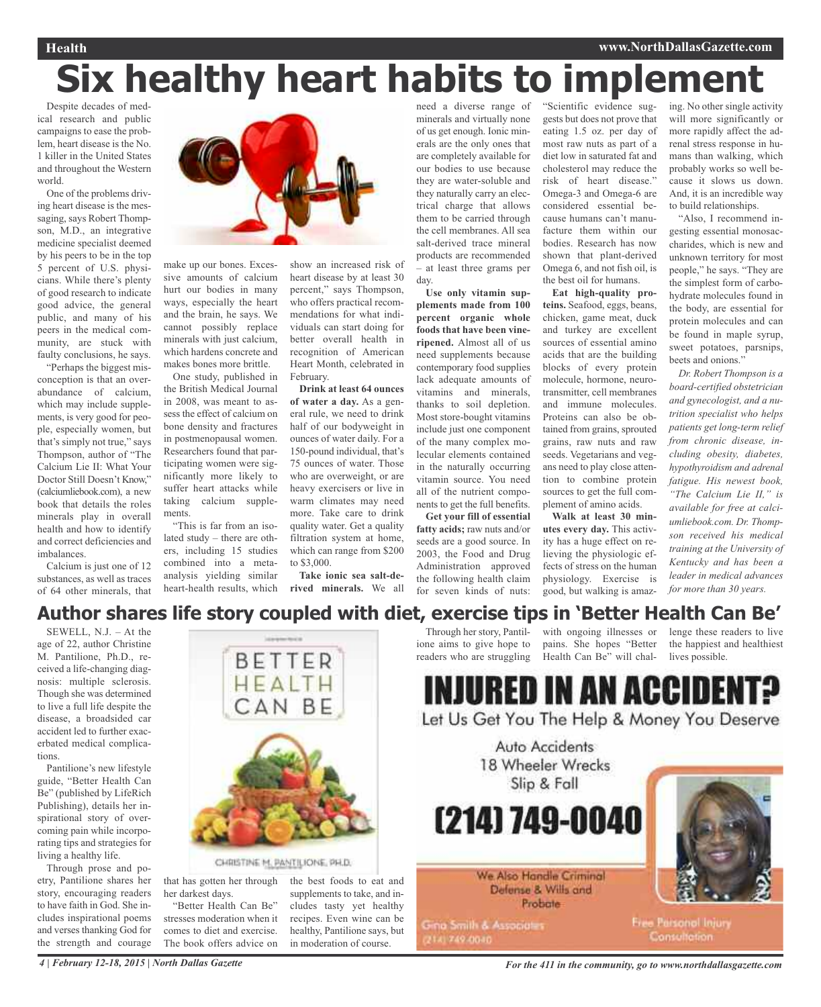# **Six healthy heart habits to implement**

Despite decades of medical research and public campaigns to ease the problem, heart disease is the No. 1 killer in the United States and throughout the Western world.

One of the problems driving heart disease is the messaging, says Robert Thompson, M.D., an integrative medicine specialist deemed by his peers to be in the top 5 percent of U.S. physicians. While there's plenty of good research to indicate good advice, the general public, and many of his peers in the medical community, are stuck with faulty conclusions, he says.

"Perhaps the biggest misconception is that an overabundance of calcium, which may include supplements, is very good for people, especially women, but that's simply not true," says Thompson, author of "The Calcium Lie II: What Your Doctor Still Doesn't Know," (calciumliebook.com), a new book that details the roles minerals play in overall health and how to identify and correct deficiencies and imbalances.

Calcium is just one of 12 substances, as well as traces of 64 other minerals, that



make up our bones. Excessive amounts of calcium hurt our bodies in many ways, especially the heart and the brain, he says. We cannot possibly replace minerals with just calcium, which hardens concrete and makes bones more brittle.

One study, published in the British Medical Journal in 2008, was meant to assess the effect of calcium on bone density and fractures in postmenopausal women. Researchers found that participating women were significantly more likely to suffer heart attacks while taking calcium supplements.

"This is far from an isolated study – there are others, including 15 studies combined into a metaanalysis yielding similar heart-health results, which

show an increased risk of heart disease by at least 30 percent," says Thompson, who offers practical recommendations for what individuals can start doing for better overall health in recognition of American Heart Month, celebrated in February.

**Drink at least 64 ounces of water a day.** As a general rule, we need to drink half of our bodyweight in ounces of water daily. For a 150-pound individual, that's 75 ounces of water. Those who are overweight, or are heavy exercisers or live in warm climates may need more. Take care to drink quality water. Get a quality filtration system at home, which can range from \$200 to \$3,000.

**Take ionic sea salt-derived minerals.** We all

minerals and virtually none of us get enough. Ionic minerals are the only ones that are completely available for our bodies to use because they are water-soluble and they naturally carry an electrical charge that allows them to be carried through the cell membranes. All sea salt-derived trace mineral products are recommended – at least three grams per day.

**Use only vitamin supplements made from 100 percent organic whole foods that have been vineripened.** Almost all of us need supplements because contemporary food supplies lack adequate amounts of vitamins and minerals, thanks to soil depletion. Most store-bought vitamins include just one component of the many complex molecular elements contained in the naturally occurring vitamin source. You need all of the nutrient components to get the full benefits.

**Get your fill of essential fatty acids;** raw nuts and/or seeds are a good source. In 2003, the Food and Drug Administration approved the following health claim for seven kinds of nuts:

need a diverse range of "Scientific evidence suggests but does not prove that eating 1.5 oz. per day of most raw nuts as part of a diet low in saturated fat and cholesterol may reduce the risk of heart disease." Omega-3 and Omega-6 are considered essential because humans can't manufacture them within our bodies. Research has now shown that plant-derived Omega 6, and not fish oil, is the best oil for humans.

**Eat high-quality proteins.** Seafood, eggs, beans, chicken, game meat, duck and turkey are excellent sources of essential amino acids that are the building blocks of every protein molecule, hormone, neurotransmitter, cell membranes and immune molecules. Proteins can also be obtained from grains, sprouted grains, raw nuts and raw seeds. Vegetarians and vegans need to play close attention to combine protein sources to get the full complement of amino acids.

**Walk at least 30 minutes every day.** This activity has a huge effect on relieving the physiologic effects of stress on the human physiology. Exercise is good, but walking is amazing. No other single activity will more significantly or more rapidly affect the adrenal stress response in humans than walking, which probably works so well because it slows us down. And, it is an incredible way to build relationships.

"Also, I recommend ingesting essential monosaccharides, which is new and unknown territory for most people," he says. "They are the simplest form of carbohydrate molecules found in the body, are essential for protein molecules and can be found in maple syrup, sweet potatoes, parsnips, beets and onions."

*Dr. Robert Thompson is a board-certified obstetrician and gynecologist, and a nutrition specialist who helps patients get long-term relief from chronic disease, including obesity, diabetes, hypothyroidism and adrenal fatigue. His newest book, "The Calcium Lie II," is available for free at calciumliebook.com. Dr. Thompson received his medical training at the University of Kentucky and has been a leader in medical advances for more than 30 years.*

# **Author shares life story coupled with diet, exercise tips in 'Better Health Can Be'**

SEWELL, N.J. – At the age of 22, author Christine M. Pantilione, Ph.D., received a life-changing diagnosis: multiple sclerosis. Though she was determined to live a full life despite the disease, a broadsided car accident led to further exacerbated medical complications.

Pantilione's new lifestyle guide, "Better Health Can Be" (published by LifeRich Publishing), details her inspirational story of overcoming pain while incorporating tips and strategies for living a healthy life.

Through prose and poetry, Pantilione shares her story, encouraging readers to have faith in God. She includes inspirational poems and verses thanking God for the strength and courage



that has gotten her through her darkest days.

"Better Health Can Be" stresses moderation when it comes to diet and exercise. The book offers advice on the best foods to eat and supplements to take, and includes tasty yet healthy recipes. Even wine can be healthy, Pantilione says, but in moderation of course.



pains. She hopes "Better

the happiest and healthiest

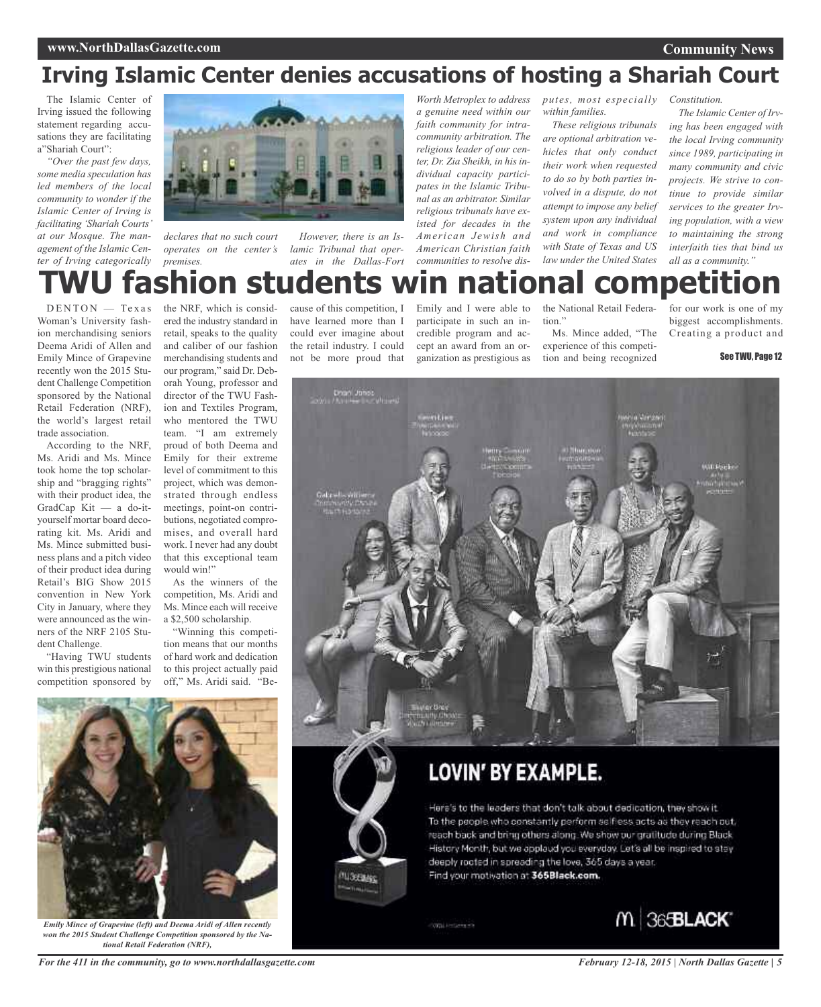# **Irving Islamic Center denies accusations of hosting a Shariah Court**

The Islamic Center of Irving issued the following statement regarding accusations they are facilitating a"Shariah Court":

*"Over the past few days, some media speculation has led members of the local community to wonder if the Islamic Center of Irving is facilitating 'Shariah Courts' at our Mosque. The management of the Islamic Center of Irving categorically*



*declares that no such court operates on the center's premises.*

*However, there is an Islamic Tribunal that operates in the Dallas-Fort*

*a genuine need within our faith community for intracommunity arbitration. The religious leader of our center, Dr. Zia Sheikh, in his individual capacity participates in the Islamic Tribunal as an arbitrator. Similar religious tribunals have existed for decades in the American Jewish and American Christian faith communities to resolve dis-*

*Worth Metroplex to address putes, most especially Constitution. within families.*

> *These religious tribunals are optional arbitration vehicles that only conduct their work when requested to do so by both parties involved in a dispute, do not attempt to impose any belief system upon any individual and work in compliance with State of Texas and US law under the United States*

*The Islamic Center of Irv-*

*ing has been engaged with the local Irving community since 1989, participating in many community and civic projects. We strive to continue to provide similar services to the greater Irving population, with a view to maintaining the strong interfaith ties that bind us all as a community."*

# the NRF, which is consid**nion students win national competition**

 $DENTON$  — Texas Woman's University fashion merchandising seniors Deema Aridi of Allen and Emily Mince of Grapevine recently won the 2015 Student Challenge Competition sponsored by the National Retail Federation (NRF), the world's largest retail trade association.

According to the NRF, Ms. Aridi and Ms. Mince took home the top scholarship and "bragging rights" with their product idea, the GradCap Kit — a do-ityourself mortar board decorating kit. Ms. Aridi and Ms. Mince submitted business plans and a pitch video of their product idea during Retail's BIG Show 2015 convention in New York City in January, where they were announced as the winners of the NRF 2105 Student Challenge.

"Having TWU students win this prestigious national competition sponsored by

ered the industry standard in retail, speaks to the quality and caliber of our fashion merchandising students and our program," said Dr. Deborah Young, professor and director of the TWU Fashion and Textiles Program, who mentored the TWU team. "I am extremely proud of both Deema and Emily for their extreme level of commitment to this project, which was demonstrated through endless meetings, point-on contributions, negotiated compromises, and overall hard work. I never had any doubt that this exceptional team would win!"

As the winners of the competition, Ms. Aridi and Ms. Mince each will receive a \$2,500 scholarship.

"Winning this competition means that our months of hard work and dedication to this project actually paid off," Ms. Aridi said. "Be-

cause of this competition, I have learned more than I could ever imagine about the retail industry. I could not be more proud that

Emily and I were able to participate in such an incredible program and accept an award from an organization as prestigious as

the National Retail Federation."

Ms. Mince added, "The experience of this competition and being recognized

for our work is one of my biggest accomplishments. Creating a product and

See TWU, Page 12



# LOVIN' BY EXAMPLE.

Here's to the leaders that don't talk about dedication, they show it. To the people who constantly perform selfiess acts as they reach out, reach back and bring others along. We show our gratitude during Black. History Month, but we applaud you everyday. Let's all be inspired to stay deeply rooted in spreading the love, 365 days a year. Find your motivation at 365Black.com.

**CITY Live Common** 

**MIGHTANS** 





*Emily Mince of Grapevine (left) and Deema Aridi of Allen recently won the 2015 Student Challenge Competition sponsored by the National Retail Federation (NRF),*

*For the 411 in the community, go to www.northdallasgazette.com*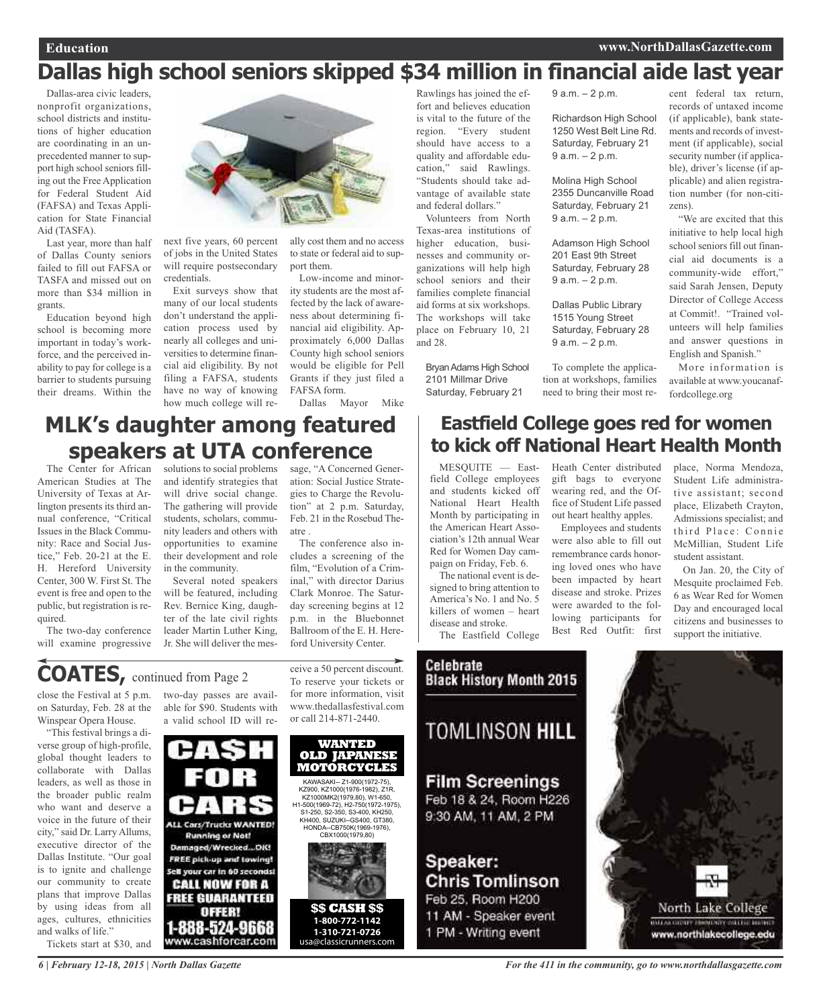zens).

cent federal tax return, records of untaxed income (if applicable), bank statements and records of investment (if applicable), social security number (if applicable), driver's license (if applicable) and alien registration number (for non-citi-

"We are excited that this initiative to help local high school seniors fill out financial aid documents is a community-wide effort," said Sarah Jensen, Deputy Director of College Access at Commit!. "Trained volunteers will help families and answer questions in English and Spanish."

More information is available at www.youcanaf-

# **Dallas high school seniors skipped \$34 million in financial aide last year**

Dallas-area civic leaders, nonprofit organizations, school districts and institutions of higher education are coordinating in an unprecedented manner to support high school seniors filling out the Free Application for Federal Student Aid (FAFSA) and Texas Application for State Financial Aid (TASFA).

Last year, more than half of Dallas County seniors failed to fill out FAFSA or TASFA and missed out on more than \$34 million in grants.

Education beyond high school is becoming more important in today's workforce, and the perceived inability to pay for college is a barrier to students pursuing their dreams. Within the



Exit surveys show that many of our local students don't understand the application process used by nearly all colleges and universities to determine financial aid eligibility. By not filing a FAFSA, students have no way of knowing how much college will re-

ally cost them and no access to state or federal aid to support them.

Low-income and minority students are the most affected by the lack of awareness about determining financial aid eligibility. Approximately 6,000 Dallas County high school seniors would be eligible for Pell Grants if they just filed a FAFSA form.

Dallas Mayor Mike

# **MLK's daughter among featured speakers at UTA conference**

The Center for African American Studies at The University of Texas at Arlington presents its third annual conference, "Critical Issues in the Black Community: Race and Social Justice," Feb. 20-21 at the E. H. Hereford University Center, 300 W. First St. The event is free and open to the public, but registration is required.

The two-day conference will examine progressive

solutions to social problems sage, "A Concerned Generand identify strategies that will drive social change. The gathering will provide students, scholars, community leaders and others with opportunities to examine their development and role in the community.

Several noted speakers will be featured, including Rev. Bernice King, daughter of the late civil rights leader Martin Luther King, Jr. She will deliver the mesation: Social Justice Strategies to Charge the Revolution" at 2 p.m. Saturday, Feb. 21 in the Rosebud Theatre .

The conference also includes a screening of the film, "Evolution of a Criminal," with director Darius Clark Monroe. The Saturday screening begins at 12 p.m. in the Bluebonnet Ballroom of the E. H. Hereford University Center.

# **COATES,** continued from Page <sup>2</sup>

close the Festival at 5 p.m. on Saturday, Feb. 28 at the Winspear Opera House.

"This festival brings a diverse group of high-profile, global thought leaders to collaborate with Dallas leaders, as well as those in the broader public realm who want and deserve a voice in the future of their city," said Dr. Larry Allums, executive director of the Dallas Institute. "Our goal is to ignite and challenge our community to create plans that improve Dallas by using ideas from all ages, cultures, ethnicities and walks of life."

Tickets start at \$30, and

two-day passes are available for \$90. Students with a valid school ID will re-

**ALL Cars/Trucks WANTED! Running or Not!** Damaged/Wrecked...OIG FREE pick-up and towing!

Sell your car in 60 seconds!

**CALL NOW FOR A FREE GUARANTEED** 

oreen

1-888-524-9668

www.cashforcar.com

ceive a 50 percent discount. To reserve your tickets or for more information, visit www.thedallasfestival.com or call 214-871-2440.



**1-310-721-0726**  usa@classicrunners.com

Rawlings has joined the effort and believes education is vital to the future of the region. "Every student should have access to a quality and affordable education," said Rawlings. "Students should take advantage of available state and federal dollars."

Volunteers from North Texas-area institutions of higher education, businesses and community organizations will help high school seniors and their families complete financial aid forms at six workshops. The workshops will take place on February 10, 21 and 28.

BryanAdams High School 2101 Millmar Drive Saturday, February 21

# **Eastfield College goes red for women to kick off National Heart Health Month**

Employees and students were also able to fill out remembrance cards honoring loved ones who have been impacted by heart disease and stroke. Prizes were awarded to the following participants for

MESQUITE — Eastfield College employees and students kicked off National Heart Health Month by participating in the American Heart Association's 12th annual Wear Red for Women Day campaign on Friday, Feb. 6.

The national event is designed to bring attention to America's No. 1 and No. 5 killers of women – heart disease and stroke.

Best Red Outfit: first The Eastfield College Celebrate **Black History Month 2015 TOMLINSON HILL Film Screenings** Feb 18 & 24, Room H226 9:30 AM, 11 AM, 2 PM Speaker: **Chris Tomlinson** Feb 25, Room H200 11 AM - Speaker event 1 PM - Writing event

9 a.m. – 2 p.m.

Richardson High School 1250 West Belt Line Rd. Saturday, February 21 9 a.m. – 2 p.m.

Molina High School 2355 Duncanville Road Saturday, February 21 9 a.m. – 2 p.m.

Adamson High School 201 East 9th Street Saturday, February 28 9 a.m. – 2 p.m.

Dallas Public Library 1515 Young Street Saturday, February 28 9 a.m. – 2 p.m.

To complete the application at workshops, families need to bring their most re-

Heath Center distributed gift bags to everyone wearing red, and the Office of Student Life passed out heart healthy apples. place, Norma Mendoza, Student Life administrative assistant; second place, Elizabeth Crayton,

fordcollege.org

Admissions specialist; and third Place: Connie McMillian, Student Life student assistant.

On Jan. 20, the City of Mesquite proclaimed Feb. 6 as Wear Red for Women Day and encouraged local citizens and businesses to support the initiative.



*6 | February 12-18, 2015 | North Dallas Gazette*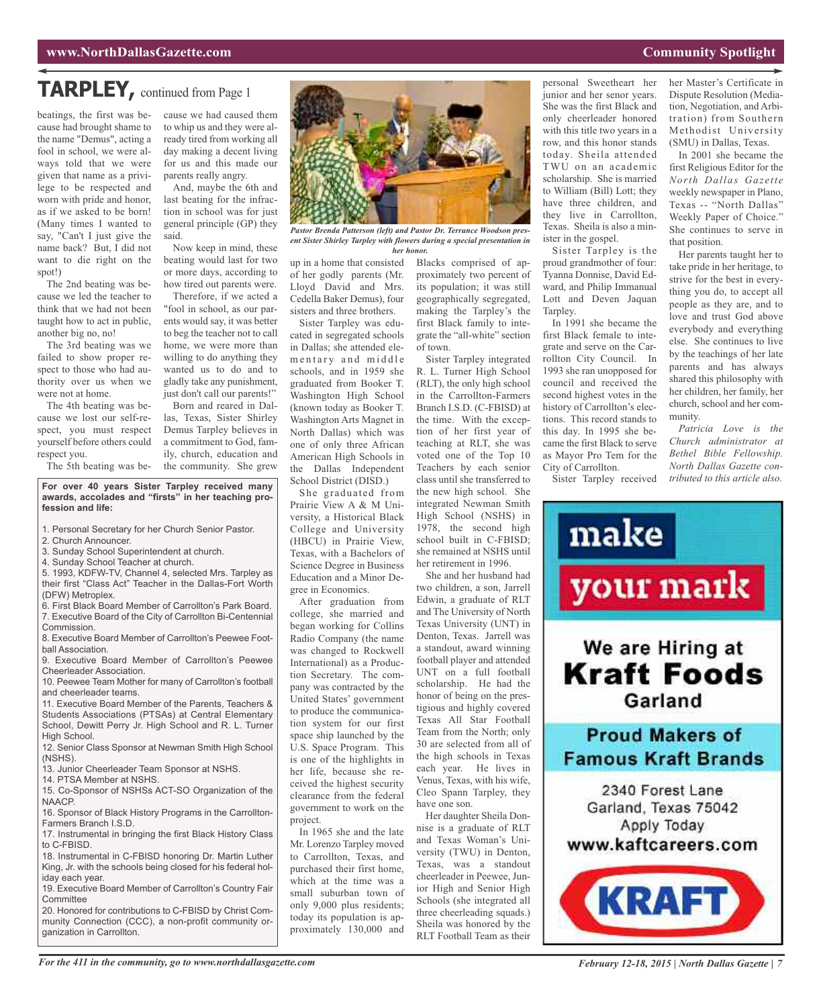# **TARPLEY,** continued from Page <sup>1</sup>

beatings, the first was because had brought shame to the name "Demus", acting a fool in school, we were always told that we were given that name as a privilege to be respected and worn with pride and honor, as if we asked to be born! (Many times I wanted to say, "Can't I just give the name back? But, I did not want to die right on the spot!)

The 2nd beating was because we led the teacher to think that we had not been taught how to act in public, another big no, no!

The 3rd beating was we failed to show proper respect to those who had authority over us when we were not at home.

The 4th beating was because we lost our self-respect, you must respect yourself before others could respect you.

The 5th beating was be-

cause we had caused them to whip us and they were already tired from working all day making a decent living for us and this made our parents really angry.

And, maybe the 6th and last beating for the infraction in school was for just general principle (GP) they said.

Now keep in mind, these beating would last for two or more days, according to how tired out parents were.

Therefore, if we acted a "fool in school, as our parents would say, it was better to beg the teacher not to call home, we were more than willing to do anything they wanted us to do and to gladly take any punishment, just don't call our parents!"

Born and reared in Dallas, Texas, Sister Shirley Demus Tarpley believes in a commitment to God, family, church, education and the community. She grew

**For over 40 years Sister Tarpley received many awards, accolades and "firsts" in her teaching profession and life:**

- 1. Personal Secretary for her Church Senior Pastor.
- 2. Church Announcer.
- 3. Sunday School Superintendent at church.
- 4. Sunday School Teacher at church.

5. 1993, KDFW-TV, Channel 4, selected Mrs. Tarpley as their first "Class Act" Teacher in the Dallas-Fort Worth (DFW) Metroplex.

6. First Black Board Member of Carrollton's Park Board. 7. Executive Board of the City of Carrollton Bi-Centennial Commission.

8. Executive Board Member of Carrollton's Peewee Football Association.

9. Executive Board Member of Carrollton's Peewee Cheerleader Association.

10. Peewee Team Mother for many of Carrollton's football and cheerleader teams.

11. Executive Board Member of the Parents, Teachers & Students Associations (PTSAs) at Central Elementary School, Dewitt Perry Jr. High School and R. L. Turner High School.

12. Senior Class Sponsor at Newman Smith High School (NSHS).

13. Junior Cheerleader Team Sponsor at NSHS.

14. PTSA Member at NSHS.

15. Co-Sponsor of NSHSs ACT-SO Organization of the NAACP.

16. Sponsor of Black History Programs in the Carrollton-Farmers Branch I.S.D.

17. Instrumental in bringing the first Black History Class to C-FBISD.

18. Instrumental in C-FBISD honoring Dr. Martin Luther King, Jr. with the schools being closed for his federal holiday each year.

19. Executive Board Member of Carrollton's Country Fair **Committee** 

20. Honored for contributions to C-FBISD by Christ Community Connection (CCC), a non-profit community organization in Carrollton.



*Pastor Brenda Patterson (left) and Pastor Dr. Terrance Woodson present Sister Shirley Tarpley with flowers during a special presentation in her honor.*

up in a home that consisted of her godly parents (Mr. Lloyd David and Mrs. Cedella Baker Demus), four sisters and three brothers.

Sister Tarpley was educated in segregated schools in Dallas; she attended elementary and middle schools, and in 1959 she graduated from Booker T. Washington High School (known today as Booker T. Washington Arts Magnet in North Dallas) which was one of only three African American High Schools in the Dallas Independent School District (DISD.)

She graduated from Prairie View A & M University, a Historical Black College and University (HBCU) in Prairie View, Texas, with a Bachelors of Science Degree in Business Education and a Minor Degree in Economics.

After graduation from college, she married and began working for Collins Radio Company (the name was changed to Rockwell International) as a Production Secretary. The company was contracted by the United States' government to produce the communication system for our first space ship launched by the U.S. Space Program. This is one of the highlights in her life, because she received the highest security clearance from the federal government to work on the project.

In 1965 she and the late Mr. Lorenzo Tarpley moved to Carrollton, Texas, and purchased their first home, which at the time was a small suburban town of only 9,000 plus residents; today its population is approximately 130,000 and

proximately two percent of its population; it was still geographically segregated, making the Tarpley's the first Black family to integrate the "all-white" section of town.

Blacks comprised of ap-

Sister Tarpley integrated R. L. Turner High School (RLT), the only high school in the Carrollton-Farmers Branch I.S.D. (C-FBISD) at the time. With the exception of her first year of teaching at RLT, she was voted one of the Top 10 Teachers by each senior class until she transferred to the new high school. She integrated Newman Smith High School (NSHS) in 1978, the second high school built in C-FBISD; she remained at NSHS until her retirement in 1996.

She and her husband had two children, a son, Jarrell Edwin, a graduate of RLT and The University of North Texas University (UNT) in Denton, Texas. Jarrell was a standout, award winning football player and attended UNT on a full football scholarship. He had the honor of being on the prestigious and highly covered Texas All Star Football Team from the North; only 30 are selected from all of the high schools in Texas each year. He lives in Venus, Texas, with his wife, Cleo Spann Tarpley, they have one son.

Her daughter Sheila Donnise is a graduate of RLT and Texas Woman's University (TWU) in Denton, Texas, was a standout cheerleader in Peewee, Junior High and Senior High Schools (she integrated all three cheerleading squads.) Sheila was honored by the RLT Football Team as their

personal Sweetheart her junior and her senor years. She was the first Black and only cheerleader honored with this title two years in a row, and this honor stands today. Sheila attended TWU on an academic scholarship. She is married to William (Bill) Lott; they have three children, and they live in Carrollton, Texas. Sheila is also a minister in the gospel.

Sister Tarpley is the proud grandmother of four: Tyanna Donnise, David Edward, and Philip Immanual Lott and Deven Jaquan Tarpley.

In 1991 she became the first Black female to integrate and serve on the Carrollton City Council. In 1993 she ran unopposed for council and received the second highest votes in the history of Carrollton's elections. This record stands to this day. In 1995 she became the first Black to serve as Mayor Pro Tem for the City of Carrollton.

Sister Tarpley received

her Master's Certificate in Dispute Resolution (Mediation, Negotiation, and Arbitration) from Southern Methodist University (SMU) in Dallas, Texas.

In 2001 she became the first Religious Editor for the *North Dallas Gazette* weekly newspaper in Plano, Texas -- "North Dallas" Weekly Paper of Choice." She continues to serve in that position.

Her parents taught her to take pride in her heritage, to strive for the best in everything you do, to accept all people as they are, and to love and trust God above everybody and everything else. She continues to live by the teachings of her late parents and has always shared this philosophy with her children, her family, her church, school and her community.

*Patricia Love is the Church administrator at Bethel Bible Fellowship. North Dallas Gazette contributed to this article also.*

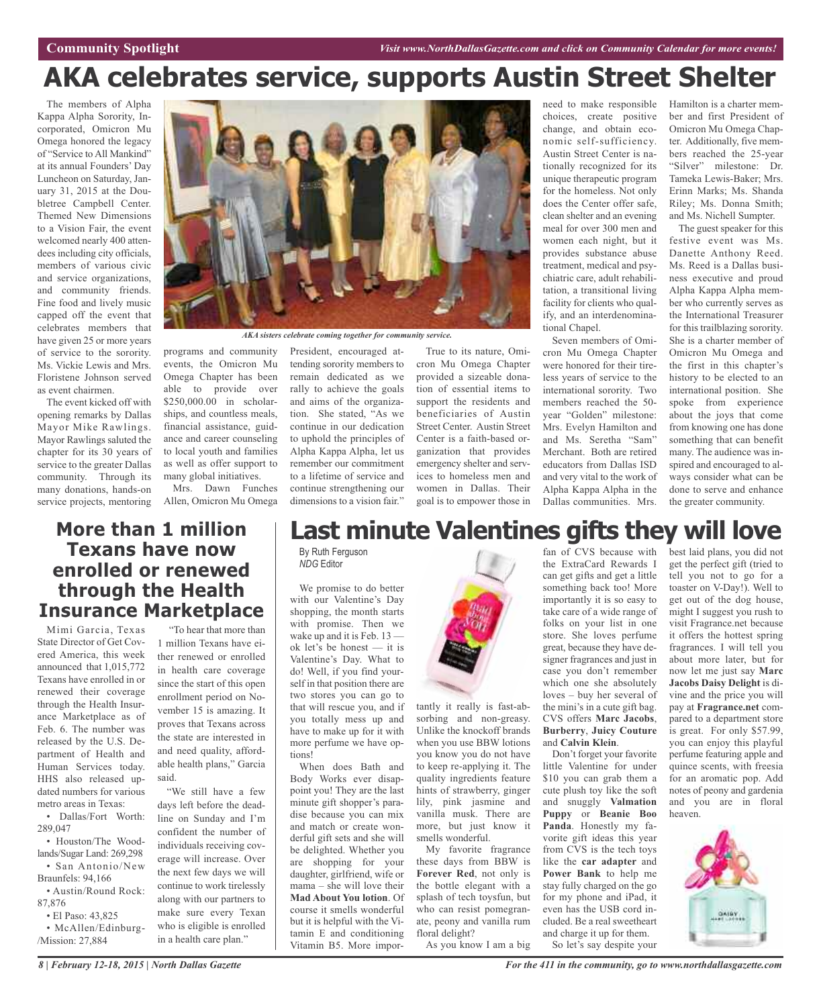# **AKA celebrates service, supports Austin Street Shelter**

The members of Alpha Kappa Alpha Sorority, Incorporated, Omicron Mu Omega honored the legacy of "Service to All Mankind" at its annual Founders' Day Luncheon on Saturday, January 31, 2015 at the Doubletree Campbell Center. Themed New Dimensions to a Vision Fair, the event welcomed nearly 400 attendees including city officials, members of various civic and service organizations, and community friends. Fine food and lively music capped off the event that celebrates members that have given 25 or more years of service to the sorority. Ms. Vickie Lewis and Mrs. Floristene Johnson served as event chairmen.

The event kicked off with opening remarks by Dallas Mayor Mike Rawlings. Mayor Rawlings saluted the chapter for its 30 years of service to the greater Dallas community. Through its many donations, hands-on

Mimi Garcia, Texas State Director of Get Covered America, this week announced that 1,015,772 Texans have enrolled in or renewed their coverage through the Health Insurance Marketplace as of Feb. 6. The number was released by the U.S. Department of Health and Human Services today. HHS also released updated numbers for various metro areas in Texas:



*AKA sisters celebrate coming together for community service.*

programs and community events, the Omicron Mu Omega Chapter has been able to provide over \$250,000.00 in scholarships, and countless meals, financial assistance, guidance and career counseling to local youth and families as well as offer support to many global initiatives.

service projects, mentoring Allen, Omicron Mu Omega Mrs. Dawn Funches

> "To hear that more than 1 million Texans have either renewed or enrolled in health care coverage since the start of this open enrollment period on November 15 is amazing. It proves that Texans across the state are interested in and need quality, affordable health plans," Garcia

> "We still have a few days left before the deadline on Sunday and I'm confident the number of individuals receiving coverage will increase. Over the next few days we will continue to work tirelessly along with our partners to make sure every Texan who is eligible is enrolled in a health care plan."

President, encouraged attending sorority members to remain dedicated as we rally to achieve the goals and aims of the organization. She stated, "As we continue in our dedication to uphold the principles of Alpha Kappa Alpha, let us remember our commitment to a lifetime of service and continue strengthening our dimensions to a vision fair."

True to its nature, Omicron Mu Omega Chapter provided a sizeable donation of essential items to support the residents and beneficiaries of Austin Street Center. Austin Street Center is a faith-based organization that provides emergency shelter and services to homeless men and women in Dallas. Their goal is to empower those in choices, create positive change, and obtain economic self-sufficiency. Austin Street Center is nationally recognized for its unique therapeutic program for the homeless. Not only does the Center offer safe, clean shelter and an evening meal for over 300 men and women each night, but it provides substance abuse treatment, medical and psychiatric care, adult rehabilitation, a transitional living facility for clients who qualify, and an interdenominational Chapel.

Seven members of Omicron Mu Omega Chapter were honored for their tireless years of service to the international sorority. Two members reached the 50 year "Golden" milestone: Mrs. Evelyn Hamilton and and Ms. Seretha "Sam" Merchant. Both are retired educators from Dallas ISD and very vital to the work of Alpha Kappa Alpha in the Dallas communities. Mrs.

need to make responsible Hamilton is a charter member and first President of Omicron Mu Omega Chapter. Additionally, five members reached the 25-year "Silver" milestone: Dr. Tameka Lewis-Baker; Mrs. Erinn Marks; Ms. Shanda Riley; Ms. Donna Smith; and Ms. Nichell Sumpter.

The guest speaker for this festive event was Ms. Danette Anthony Reed. Ms. Reed is a Dallas business executive and proud Alpha Kappa Alpha member who currently serves as the International Treasurer for this trailblazing sorority. She is a charter member of Omicron Mu Omega and the first in this chapter's history to be elected to an international position. She spoke from experience about the joys that come from knowing one has done something that can benefit many. The audience was inspired and encouraged to always consider what can be done to serve and enhance the greater community.

# **Last minute Valentines gifts they will love**

By Ruth Ferguson *NDG* Editor

We promise to do better with our Valentine's Day shopping, the month starts with promise. Then we wake up and it is Feb. 13 ok let's be honest — it is Valentine's Day. What to do! Well, if you find yourself in that position there are two stores you can go to that will rescue you, and if you totally mess up and have to make up for it with more perfume we have options!

When does Bath and Body Works ever disappoint you! They are the last minute gift shopper's paradise because you can mix and match or create wonderful gift sets and she will be delighted. Whether you are shopping for your daughter, girlfriend, wife or mama – she will love their **Mad About You lotion**. Of course it smells wonderful but it is helpful with the Vitamin E and conditioning Vitamin B5. More impor-



tantly it really is fast-absorbing and non-greasy. Unlike the knockoff brands when you use BBW lotions you know you do not have to keep re-applying it. The quality ingredients feature hints of strawberry, ginger lily, pink jasmine and vanilla musk. There are more, but just know it smells wonderful.

My favorite fragrance these days from BBW is **Forever Red**, not only is the bottle elegant with a splash of tech toysfun, but who can resist pomegranate, peony and vanilla rum floral delight?

As you know I am a big

fan of CVS because with the ExtraCard Rewards I can get gifts and get a little something back too! More importantly it is so easy to take care of a wide range of folks on your list in one store. She loves perfume great, because they have designer fragrances and just in case you don't remember which one she absolutely loves – buy her several of the mini's in a cute gift bag. CVS offers **Marc Jacobs**, **Burberry**, **Juicy Couture** and **Calvin Klein**.

Don't forget your favorite little Valentine for under \$10 you can grab them a cute plush toy like the soft and snuggly **Valmation Puppy** or **Beanie Boo Panda**. Honestly my favorite gift ideas this year from CVS is the tech toys like the **car adapter** and **Power Bank** to help me stay fully charged on the go for my phone and iPad, it even has the USB cord included. Be a real sweetheart and charge it up for them. So let's say despite your

best laid plans, you did not get the perfect gift (tried to tell you not to go for a toaster on V-Day!). Well to get out of the dog house, might I suggest you rush to visit Fragrance.net because it offers the hottest spring fragrances. I will tell you about more later, but for now let me just say **Marc Jacobs Daisy Delight** is divine and the price you will pay at **Fragrance.net** compared to a department store is great. For only \$57.99, you can enjoy this playful perfume featuring apple and quince scents, with freesia for an aromatic pop. Add notes of peony and gardenia and you are in floral



Braunfels: 94,166 • Austin/Round Rock: 87,876

• Dallas/Fort Worth:

• Houston/The Woodlands/Sugar Land: 269,298 • San Antonio/New

• El Paso: 43,825

289,047

• McAllen/Edinburg- /Mission: 27,884

## *8 | February 12-18, 2015 | North Dallas Gazette*

said.

**More than 1 million Texans have now enrolled or renewed**

**through the Health**

**Insurance Marketplace**

*For the 411 in the community, go to www.northdallasgazette.com*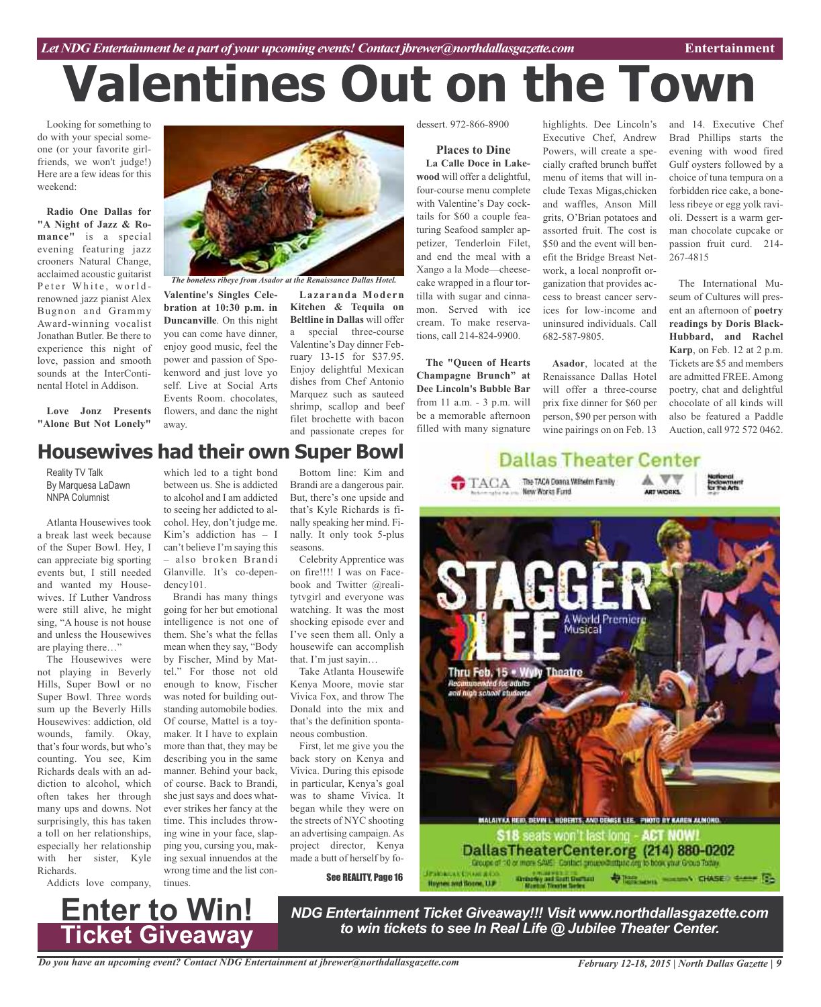# **Valentines Out on the Town**

Looking for something to do with your special someone (or your favorite girlfriends, we won't judge!) Here are a few ideas for this weekend:

**Radio One Dallas for "A Night of Jazz & Romance"** is a special evening featuring jazz crooners Natural Change, acclaimed acoustic guitarist Peter White, worldrenowned jazz pianist Alex Bugnon and Grammy Award-winning vocalist Jonathan Butler. Be there to experience this night of love, passion and smooth sounds at the InterContinental Hotel in Addison.

**Love Jonz Presents "Alone But Not Lonely"**



*The boneless ribeye from Asador at the Renaissance Dallas Hotel.*

**Valentine's Singles Celebration at 10:30 p.m. in Duncanville**. On this night you can come have dinner, enjoy good music, feel the power and passion of Spokenword and just love yo self. Live at Social Arts Events Room. chocolates, flowers, and danc the night away.

**Lazaranda Modern Kitchen & Tequila on Beltline in Dallas** will offer a special three-course Valentine's Day dinner February 13-15 for \$37.95. Enjoy delightful Mexican dishes from Chef Antonio Marquez such as sauteed shrimp, scallop and beef filet brochette with bacon and passionate crepes for

dessert. 972-866-8900

# **Places to Dine**

**La Calle Doce in Lakewood** will offer a delightful, four-course menu complete with Valentine's Day cocktails for \$60 a couple featuring Seafood sampler appetizer, Tenderloin Filet, and end the meal with a Xango a la Mode—cheesecake wrapped in a flour tortilla with sugar and cinnamon. Served with ice cream. To make reservations, call 214-824-9900.

**The "Queen of Hearts Champagne Brunch" at Dee Lincoln's Bubble Bar** from 11 a.m. - 3 p.m. will be a memorable afternoon filled with many signature highlights. Dee Lincoln's Executive Chef, Andrew Powers, will create a specially crafted brunch buffet menu of items that will include Texas Migas,chicken and waffles, Anson Mill grits, O'Brian potatoes and assorted fruit. The cost is \$50 and the event will benefit the Bridge Breast Network, a local nonprofit organization that provides access to breast cancer services for low-income and uninsured individuals. Call 682-587-9805.

**Asador**, located at the Renaissance Dallas Hotel will offer a three-course prix fixe dinner for \$60 per person, \$90 per person with wine pairings on on Feb. 13 and 14. Executive Chef Brad Phillips starts the evening with wood fired Gulf oysters followed by a choice of tuna tempura on a forbidden rice cake, a boneless ribeye or egg yolk ravioli. Dessert is a warm german chocolate cupcake or passion fruit curd. 214- 267-4815

The International Museum of Cultures will present an afternoon of **poetry readings by Doris Black-Hubbard, and Rachel Karp**, on Feb. 12 at 2 p.m. Tickets are \$5 and members are admitted FREE. Among poetry, chat and delightful chocolate of all kinds will also be featured a Paddle Auction, call 972 572 0462.

# **Housewives had their own Super Bowl**

Reality TV Talk By Marquesa LaDawn NNPA Columnist

Atlanta Housewives took a break last week because of the Super Bowl. Hey, I can appreciate big sporting events but, I still needed and wanted my Housewives. If Luther Vandross were still alive, he might sing, "A house is not house and unless the Housewives are playing there…"

The Housewives were not playing in Beverly Hills, Super Bowl or no Super Bowl. Three words sum up the Beverly Hills Housewives: addiction, old wounds, family. Okay, that's four words, but who's counting. You see, Kim Richards deals with an addiction to alcohol, which often takes her through many ups and downs. Not surprisingly, this has taken a toll on her relationships, especially her relationship with her sister, Kyle Richards.

Addicts love company,

which led to a tight bond between us. She is addicted to alcohol and I am addicted to seeing her addicted to alcohol. Hey, don't judge me. Kim's addiction has – I can't believe I'm saying this – also broken Brandi Glanville. It's co-dependency101.

Brandi has many things going for her but emotional intelligence is not one of them. She's what the fellas mean when they say, "Body by Fischer, Mind by Mattel." For those not old enough to know, Fischer was noted for building outstanding automobile bodies. Of course, Mattel is a toymaker. It I have to explain more than that, they may be describing you in the same manner. Behind your back, of course. Back to Brandi, she just says and does whatever strikes her fancy at the time. This includes throwing wine in your face, slapping you, cursing you, making sexual innuendos at the wrong time and the list continues.

Bottom line: Kim and Brandi are a dangerous pair. But, there's one upside and that's Kyle Richards is finally speaking her mind. Finally. It only took 5-plus seasons.

Celebrity Apprentice was on fire!!!! I was on Facebook and Twitter @realitytvgirl and everyone was watching. It was the most shocking episode ever and I've seen them all. Only a housewife can accomplish that. I'm just sayin…

Take Atlanta Housewife Kenya Moore, movie star Vivica Fox, and throw The Donald into the mix and that's the definition spontaneous combustion.

First, let me give you the back story on Kenya and Vivica. During this episode in particular, Kenya's goal was to shame Vivica. It began while they were on the streets of NYC shooting an advertising campaign. As project director, Kenya made a butt of herself by fo-

See REALITY, Page 16





*NDG Entertainment Ticket Giveaway!!! Visit www.northdallasgazette.com to win tickets to see In Real Life @ Jubilee Theater Center.* **Enter to Win!**

Haynes and Boane, U.P.

**Ticket Giveaway**

*Do you have an upcoming event? Contact NDG Entertainment at jbrewer@northdallasgazette.com*

*February 12-18, 2015 | North Dallas Gazette | 9*

**DESCRIPTION AND ARRESTS CONTROL**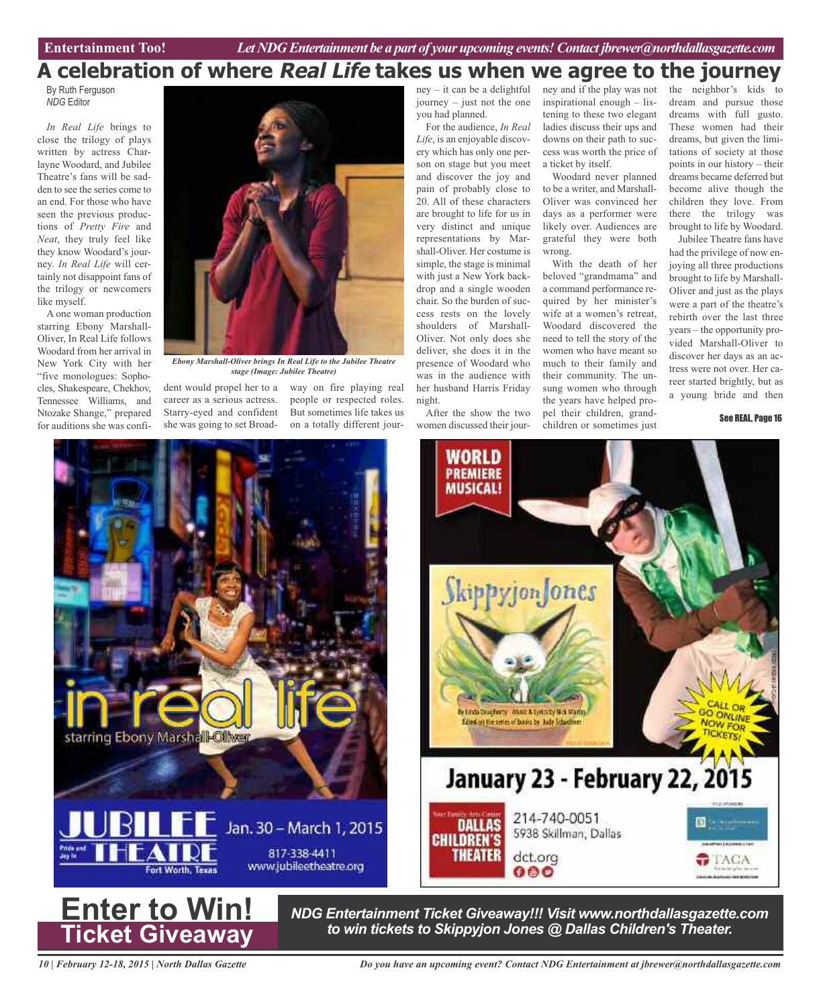# **A celebration of where Real Life takes us when we agree to the journey**

By Ruth Ferguson *NDG* Editor

*In Real Life* brings to close the trilogy of plays written by actress Charlayne Woodard, and Jubilee Theatre's fans will be sadden to see the series come to an end. For those who have seen the previous productions of *Pretty Fire* and *Neat*, they truly feel like they know Woodard's journey. *In Real Life* will certainly not disappoint fans of the trilogy or newcomers like myself.

A one woman production starring Ebony Marshall-Oliver, In Real Life follows Woodard from her arrival in New York City with her "five monologues: Sophocles, Shakespeare, Chekhov, Tennessee Williams, and Ntozake Shange," prepared for auditions she was confi-



*Ebony Marshall-Oliver brings In Real Life to the Jubilee Theatre stage (Image: Jubilee Theatre)*

dent would propel her to a way on fire playing real career as a serious actress. Starry-eyed and confident she was going to set Broad-

people or respected roles. But sometimes life takes us on a totally different journey – it can be a delightful journey – just not the one you had planned.

For the audience, *In Real Life*, is an enjoyable discovery which has only one person on stage but you meet and discover the joy and pain of probably close to 20. All of these characters are brought to life for us in very distinct and unique representations by Marshall-Oliver. Her costume is simple, the stage is minimal with just a New York backdrop and a single wooden chair. So the burden of success rests on the lovely shoulders of Marshall-Oliver. Not only does she deliver, she does it in the presence of Woodard who was in the audience with her husband Harris Friday night.

After the show the two women discussed their journey and if the play was not inspirational enough – listening to these two elegant ladies discuss their ups and downs on their path to success was worth the price of a ticket by itself.

Woodard never planned to be a writer, and Marshall-Oliver was convinced her days as a performer were likely over. Audiences are grateful they were both wrong.

With the death of her beloved "grandmama" and a command performance required by her minister's wife at a women's retreat, Woodard discovered the need to tell the story of the women who have meant so much to their family and their community. The unsung women who through the years have helped propel their children, grandchildren or sometimes just

the neighbor's kids to dream and pursue those dreams with full gusto. These women had their dreams, but given the limitations of society at those points in our history – their dreams became deferred but become alive though the children they love. From there the trilogy was brought to life by Woodard.

Jubilee Theatre fans have had the privilege of now enjoying all three productions brought to life by Marshall-Oliver and just as the plays were a part of the theatre's rebirth over the last three years – the opportunity provided Marshall-Oliver to discover her days as an actress were not over. Her career started brightly, but as a young bride and then

See REAL, Page 16





*NDG Entertainment Ticket Giveaway!!! Visit www.northdallasgazette.com to win tickets to Skippyjon Jones @ Dallas Children's Theater.* **Enter to Win!**

*10 | February 12-18, 2015 | North Dallas Gazette*

**Ticket Giveaway**

*Do you have an upcoming event? Contact NDG Entertainment at jbrewer@northdallasgazette.com*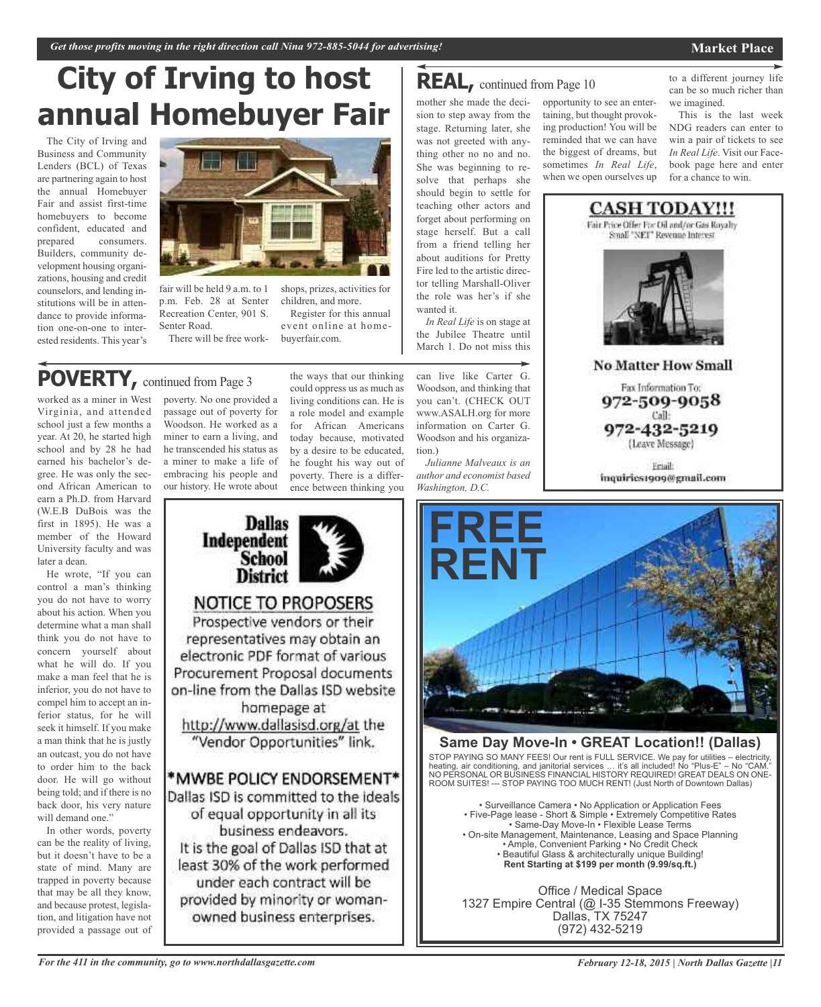## **Market Place**

# **City of Irving to host annual Homebuyer Fair**

The City of Irving and Business and Community Lenders (BCL) of Texas are partnering again to host the annual Homebuyer Fair and assist first-time homebuyers to become confident, educated and prepared consumers. Builders, community development housing organizations, housing and credit counselors, and lending institutions will be in attendance to provide information one-on-one to interested residents. This year's



fair will be held 9 a.m. to 1 p.m. Feb. 28 at Senter Recreation Center, 901 S. Senter Road.

There will be free work-

# **POVERTY,** continued from Page <sup>3</sup>

worked as a miner in West Virginia, and attended school just a few months a year. At 20, he started high school and by 28 he had earned his bachelor's degree. He was only the second African American to earn a Ph.D. from Harvard (W.E.B DuBois was the first in 1895). He was a member of the Howard University faculty and was later a dean.

He wrote, "If you can control a man's thinking you do not have to worry about his action. When you determine what a man shall think you do not have to concern yourself about what he will do. If you make a man feel that he is inferior, you do not have to compel him to accept an inferior status, for he will seek it himself. If you make a man think that he is justly an outcast, you do not have to order him to the back door. He will go without being told; and if there is no back door, his very nature will demand one."

In other words, poverty can be the reality of living, but it doesn't have to be a state of mind. Many are trapped in poverty because that may be all they know, and because protest, legislation, and litigation have not provided a passage out of

poverty. No one provided a passage out of poverty for Woodson. He worked as a miner to earn a living, and he transcended his status as a miner to make a life of embracing his people and our history. He wrote about

the ways that our thinking could oppress us as much as living conditions can. He is a role model and example for African Americans today because, motivated by a desire to be educated, he fought his way out of poverty. There is a difference between thinking you

shops, prizes, activities for children, and more.

buyerfair.com.

Register for this annual event online at home-



# **REAL,** continued from Page <sup>10</sup>

mother she made the decision to step away from the stage. Returning later, she was not greeted with anything other no no and no. She was beginning to resolve that perhaps she should begin to settle for teaching other actors and forget about performing on stage herself. But a call from a friend telling her about auditions for Pretty Fire led to the artistic director telling Marshall-Oliver the role was her's if she wanted it.

*In Real Life* is on stage at the Jubilee Theatre until March 1. Do not miss this

can live like Carter G. Woodson, and thinking that you can't. (CHECK OUT www.ASALH.org for more information on Carter G. Woodson and his organization.)

*Julianne Malveaux is an author and economist based Washington, D.C.*

opportunity to see an entertaining, but thought provoking production! You will be reminded that we can have the biggest of dreams, but sometimes *In Real Life*, when we open ourselves up

to a different journey life can be so much richer than we imagined.

This is the last week NDG readers can enter to win a pair of tickets to see *In Real Life*. Visit our Facebook page here and enter for a chance to win.



**No Matter How Small** 

Fax Information To: 972-509-9058 Call: 972-432-5219

(Leave Message)

Friail: inquiries1909@gmail.com



# **Same Day Move-In • GREAT Location!! (Dallas)**

STOP PAYING SO MANY FEES! Our rent is FULL SERVICE. We pay for utilities – electricity, heating, air conditioning, and janitorial services … it's all included! No "Plus-E" – No "CAM." NO PERSONAL OR BUSINESS FINANCIAL HISTORY REQUIRED! GREAT DEALS ON ONE-ROOM SUITES! --- STOP PAYING TOO MUCH RENT! (Just North of Downtown Dallas)

• Surveillance Camera • No Application or Application Fees • Five-Page lease - Short & Simple • Extremely Competitive Rates • Same-Day Move-In • Flexible Lease Terms • On-site Management, Maintenance, Leasing and Space Planning • Ample, Convenient Parking • No Credit Check • Beautiful Glass & architecturally unique Building! **Rent Starting at \$199 per month (9.99/sq.ft.)**

Office / Medical Space 1327 Empire Central (@ I-35 Stemmons Freeway) Dallas, TX 75247 (972) 432-5219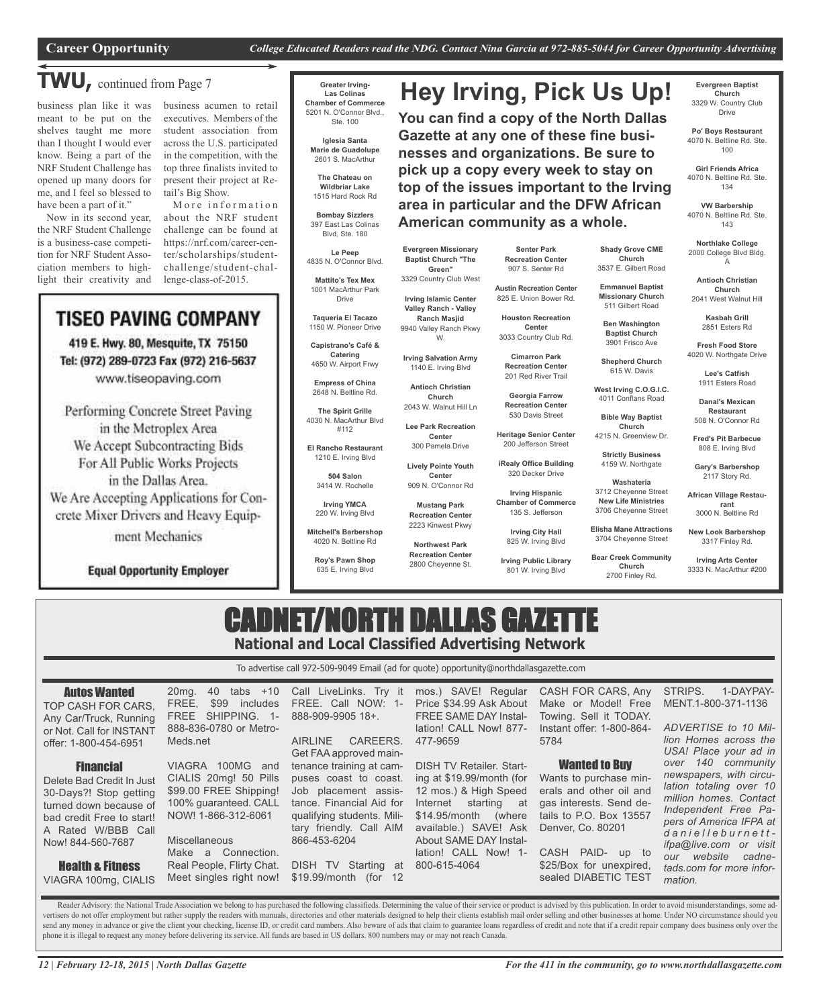**Hey Irving, Pick Us Up!**

**You can find a copy of the North Dallas Gazette at any one of these fine businesses and organizations. Be sure to pick up a copy every week to stay on top of the issues important to the Irving area in particular and the DFW African**

# **TWU,** continued from Page <sup>7</sup>

business plan like it was meant to be put on the shelves taught me more than I thought I would ever know. Being a part of the NRF Student Challenge has opened up many doors for me, and I feel so blessed to have been a part of it."

Now in its second year, the NRF Student Challenge is a business-case competition for NRF Student Association members to highlight their creativity and business acumen to retail executives. Members of the student association from across the U.S. participated in the competition, with the top three finalists invited to present their project at Retail's Big Show.

More information about the NRF student challenge can be found at https://nrf.com/career-center/scholarships/studentchallenge/student-challenge-class-of-2015.

# TISEO PAVING COMPANY

419 E. Hwy. 80, Mesquite, TX 75150 Tel: (972) 289-0723 Fax (972) 216-5637 www.tiseopaving.com

Performing Concrete Street Paving in the Metroplex Area We Accept Subcontracting Bids For All Public Works Projects in the Dallas Area. We Are Accepting Applications for Concrete Mixer Drivers and Heavy Equipment Mechanics

**Equal Opportunity Employer** 

### **Greater Irving-Las Colinas Chamber of Commerce** 5201 N. O'Connor Blvd., Ste. 100

**Iglesia Santa Marie de Guadolupe** 2601 S. MacArthur

**The Chateau on Wildbriar Lake** 1515 Hard Rock Rd

**Bombay Sizzlers** 397 East Las Colinas Blvd, Ste. 180

**Le Peep** 4835 N. O'Connor Blvd.

**Mattito's Tex Mex** 1001 MacArthur Park Drive

**Taqueria El Tacazo** 1150 W. Pioneer Drive

**Capistrano's Café & Catering** 4650 W. Airport Frwy

**Empress of China** 2648 N. Beltline Rd.

**The Spirit Grille** 4030 N. MacArthur Blvd #112

**El Rancho Restaurant** 1210 E. Irving Blvd

> **504 Salon** 3414 W. Rochelle

**Irving YMCA** 220 W. Irving Blvd

**Mitchell's Barbershop**

4020 N. Beltline Rd

**Roy's Pawn Shop** 635 E. Irving Blvd

**Senter Park Recreation Center American community as a whole.**

**Evergreen Missionary Baptist Church "The Green"**

**Irving Islamic Center Valley Ranch - Valley Ranch Masjid**

W.

**Church**

**Center** 909 N. O'Connor Rd **Mustang Park Recreation Center** 2223 Kinwest Pkwy **Northwest Park Recreation Center** 2800 Cheyenne St.

907 S. Senter Rd

825 E. Union Bower Rd.

**Center** 3033 Country Club Rd.

**Recreation Center**

**Georgia Farrow Recreation Center**

**iRealy Office Building** 320 Decker Drive

**Irving Hispanic**

801 W. Irving Blvd

**Evergreen Baptist Church** 3329 W. Country Club Drive

**Po' Boys Restaurant** 4070 N. Beltline Rd. Ste. 100

**Girl Friends Africa** 4070 N. Beltline Rd. Ste. 134

**VW Barbership** 4070 N. Beltline Rd. Ste. 143

**Northlake College** 2000 College Blvd Bldg. A

**Shady Grove CME Church** 3537 E. Gilbert Road **Emmanuel Baptist Missionary Church** 511 Gilbert Road **Ben Washington Baptist Church** 3901 Frisco Ave **Shepherd Church** 615 W. Davis **West Irving C.O.G.I.C.** 4011 Conflans Road **Bible Way Baptist Church** 4215 N. Greenview Dr. **Strictly Business** 4159 W. Northgate **Washateria** 3712 Cheyenne Street **New Life Ministries** 3706 Cheyenne Street **Elisha Mane Attractions** 3704 Cheyenne Street **Bear Creek Community Church** 2700 Finley Rd.

**Antioch Christian Church** 2041 West Walnut Hill

**Kasbah Grill** 2851 Esters Rd

**Fresh Food Store** 4020 W. Northgate Drive

> **Lee's Catfish** 1911 Esters Road

**Danal's Mexican Restaurant** 508 N. O'Connor Rd

**Fred's Pit Barbecue** 808 E. Irving Blvd

**Gary's Barbershop** 2117 Story Rd.

**African Village Restaurant** 3000 N. Beltline Rd

**New Look Barbershop** 3317 Finley Rd.

**Irving Arts Center** 3333 N. MacArthur #200

# CADNET/NORTH DALLAS GAZET **National and Local Classified Advertising Network**

To advertise call 972-509-9049 Email (ad for quote) opportunity@northdallasgazette.com

| <b>Autos Wanted</b><br>TOP CASH FOR CARS.<br>Any Car/Truck, Running<br>or Not. Call for INSTANT<br>offer: 1-800-454-6951                             | 40 tabs +10<br>$20mq$ .<br>\$99<br>includes<br>FREE.<br>FREE SHIPPING.<br>$1 -$<br>888-836-0780 or Metro-<br>Meds.net                       | Call LiveLinks. Try it<br>FREE. Call NOW: 1-<br>888-909-9905 18+.<br>CAREERS.<br><b>AIRLINE</b>                                                                                                          | mos.) SAVE! Regular<br>Price \$34.99 Ask About<br><b>FREE SAME DAY Instal-</b><br>lation! CALL Now! 877-<br>477-9659                                                                                 | CASH FOR CARS, Any<br>Make or Model! Free<br>Towing. Sell it TODAY.<br>Instant offer: 1-800-864-<br>5784                                             | 1-DAYPAY-<br>STRIPS.<br>MENT.1-800-371-1136<br>ADVERTISE to 10 Mil-<br>lion Homes across the                                                                                                         |
|------------------------------------------------------------------------------------------------------------------------------------------------------|---------------------------------------------------------------------------------------------------------------------------------------------|----------------------------------------------------------------------------------------------------------------------------------------------------------------------------------------------------------|------------------------------------------------------------------------------------------------------------------------------------------------------------------------------------------------------|------------------------------------------------------------------------------------------------------------------------------------------------------|------------------------------------------------------------------------------------------------------------------------------------------------------------------------------------------------------|
| <b>Financial</b><br>Delete Bad Credit In Just<br>30-Days?! Stop getting<br>turned down because of<br>bad credit Free to start!<br>A Rated W/BBB Call | VIAGRA 100MG and<br>CIALIS 20mg! 50 Pills<br>\$99.00 FREE Shipping!<br>100% guaranteed. CALL<br>NOW! 1-866-312-6061<br><b>Miscellaneous</b> | Get FAA approved main-<br>tenance training at cam-<br>puses coast to coast.<br>Job placement assis-<br>tance. Financial Aid for<br>qualifying students. Mili-<br>tary friendly. Call AIM<br>866-453-6204 | <b>DISH TV Retailer. Start-</b><br>ing at \$19.99/month (for<br>12 mos.) & High Speed<br>Internet<br>starting<br>at<br>$$14.95/m$ onth<br>(where)<br>available.) SAVE! Ask<br>About SAME DAY Instal- | <b>Wanted to Buy</b><br>Wants to purchase min-<br>erals and other oil and<br>gas interests. Send de-<br>tails to P.O. Box 13557<br>Denver, Co. 80201 | USA! Place your ad in<br>over 140 community<br>newspapers, with circu-<br>lation totaling over 10<br>million homes. Contact<br>Independent Free Pa-<br>pers of America IFPA at  <br>danielleburnett- |
| Now! 844-560-7687<br><b>Health &amp; Fitness</b><br>VIAGRA 100mg, CIALIS                                                                             | Connection.<br>Make<br>a<br>Real People, Flirty Chat.<br>Meet singles right now!                                                            | DISH TV<br>Starting<br>at<br>\$19.99/month (for 12                                                                                                                                                       | lation! CALL Now! 1-<br>800-615-4064                                                                                                                                                                 | CASH PAID-<br>up to<br>\$25/Box for unexpired,<br>sealed DIABETIC TEST                                                                               | <i>ifpa@live.com or visit</i><br>website<br>cadne-<br>our<br>tads.com for more infor-<br>mation.                                                                                                     |

Reader Advisory: the National Trade Association we belong to has purchased the following classifieds. Determining the value of their service or product is advised by this publication. In order to avoid misunderstandings, s vertisers do not offer employment but rather supply the readers with manuals, directories and other materials designed to help their clients establish mail order selling and other businesses at home. Under NO circumstance send any money in advance or give the client your checking, license ID, or credit card numbers. Also beware of ads that claim to guarantee loans regardless of credit and note that if a credit repair company does business o phone it is illegal to request any money before delivering its service. All funds are based in US dollars. 800 numbers may or may not reach Canada.

3329 Country Club West **Austin Recreation Center Houston Recreation**

9940 Valley Ranch Pkwy **Irving Salvation Army Cimarron Park**

**Center** 300 Pamela Drive **Lively Pointe Youth**

**Irving Public Library**

**Lee Park Recreation**

135 S. Jefferson

**Irving City Hall**

1140 E. Irving Blvd **Antioch Christian** 201 Red River Trail

**Heritage Senior Center**

2043 W. Walnut Hill Ln

530 Davis Street

200 Jefferson Street

**Chamber of Commerce**

825 W. Irving Blvd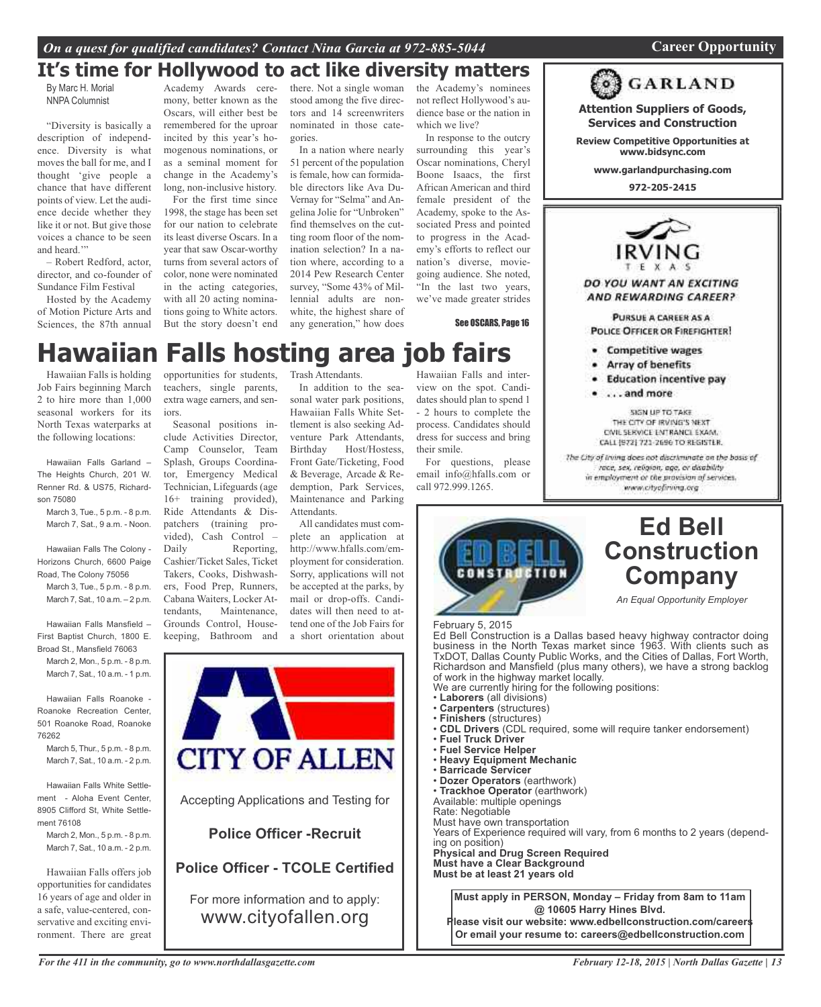# **It's time for Hollywood to act like diversity matters**

By Marc H. Morial NNPA Columnist

"Diversity is basically a description of independence. Diversity is what moves the ball for me, and I thought 'give people a chance that have different points of view. Let the audience decide whether they like it or not. But give those voices a chance to be seen and heard."

– Robert Redford, actor, director, and co-founder of Sundance Film Festival

Hosted by the Academy of Motion Picture Arts and Sciences, the 87th annual

Academy Awards ceremony, better known as the Oscars, will either best be remembered for the uproar incited by this year's homogenous nominations, or as a seminal moment for change in the Academy's long, non-inclusive history.

For the first time since 1998, the stage has been set for our nation to celebrate its least diverse Oscars. In a year that saw Oscar-worthy turns from several actors of color, none were nominated in the acting categories, with all 20 acting nominations going to White actors. But the story doesn't end

there. Not a single woman stood among the five directors and 14 screenwriters nominated in those categories.

In a nation where nearly 51 percent of the population is female, how can formidable directors like Ava Du-Vernay for "Selma" and Angelina Jolie for "Unbroken" find themselves on the cutting room floor of the nomination selection? In a nation where, according to a 2014 Pew Research Center survey, "Some 43% of Millennial adults are nonwhite, the highest share of any generation," how does

the Academy's nominees not reflect Hollywood's audience base or the nation in which we live?

In response to the outcry surrounding this year's Oscar nominations, Cheryl Boone Isaacs, the first African American and third female president of the Academy, spoke to the Associated Press and pointed to progress in the Academy's efforts to reflect our nation's diverse, moviegoing audience. She noted, "In the last two years, we've made greater strides

See OSCARS, Page 16

# **Hawaiian Falls hosting area job fairs**

Hawaiian Falls is holding Job Fairs beginning March 2 to hire more than 1,000 seasonal workers for its North Texas waterparks at the following locations:

Hawaiian Falls Garland – The Heights Church, 201 W. Renner Rd. & US75, Richardson 75080

March 3, Tue., 5 p.m. - 8 p.m. March 7, Sat., 9 a.m. - Noon.

Hawaiian Falls The Colony - Horizons Church, 6600 Paige Road, The Colony 75056

March 3, Tue., 5 p.m. - 8 p.m. March 7, Sat., 10 a.m. – 2 p.m.

Hawaiian Falls Mansfield – First Baptist Church, 1800 E. Broad St., Mansfield 76063

March 2, Mon., 5 p.m. - 8 p.m. March 7, Sat., 10 a.m. - 1 p.m.

Hawaiian Falls Roanoke - Roanoke Recreation Center, 501 Roanoke Road, Roanoke 76262

March 5, Thur., 5 p.m. - 8 p.m. March 7, Sat., 10 a.m. - 2 p.m.

Hawaiian Falls White Settlement - Aloha Event Center, 8905 Clifford St, White Settlement 76108

March 2, Mon., 5 p.m. - 8 p.m. March 7, Sat., 10 a.m. - 2 p.m.

Hawaiian Falls offers job opportunities for candidates 16 years of age and older in a safe, value-centered, conservative and exciting environment. There are great

opportunities for students, teachers, single parents, extra wage earners, and seniors.

Seasonal positions include Activities Director, Camp Counselor, Team Splash, Groups Coordinator, Emergency Medical Technician, Lifeguards (age 16+ training provided), Ride Attendants & Dispatchers (training provided), Cash Control – Daily Reporting, Cashier/Ticket Sales, Ticket Takers, Cooks, Dishwashers, Food Prep, Runners, Cabana Waiters, Locker Attendants, Maintenance, Grounds Control, Housekeeping, Bathroom and Trash Attendants.

In addition to the seasonal water park positions, Hawaiian Falls White Settlement is also seeking Adventure Park Attendants, Birthday Host/Hostess, Front Gate/Ticketing, Food & Beverage, Arcade & Redemption, Park Services, Maintenance and Parking Attendants.

All candidates must complete an application at http://www.hfalls.com/employment for consideration. Sorry, applications will not be accepted at the parks, by mail or drop-offs. Candidates will then need to attend one of the Job Fairs for a short orientation about



Hawaiian Falls and interview on the spot. Candidates should plan to spend 1 - 2 hours to complete the process. Candidates should dress for success and bring their smile.

For questions, please email info@hfalls.com or call 972.999.1265.



# **Ed Bell Construction Company**

*An Equal Opportunity Employer*

February 5, 2015

 Ed Bell Construction is a Dallas based heavy highway contractor doing<br>business in the North Texas market since 1963. With clients such as Ed Bell Construction is a Dallas based heavy highway contractor doing Richardson and Mansfield (plus many others), we have a strong backlog of work in the highway market locally.

- 
- 
- 
- Finishers (structures)<br>• CDL Drivers (CDL required, some will require tanker endorsement) of work in the highway market locally.<br>
We are currently hiring for the following positions:<br>
• Laborers (all divisions)<br>
• Carpenters (structures)<br>
• Finishers (structures)<br>
• CDL Drivers (CDL required, some will require
- **Fuel Truck Driver**
- **Fuel Service Helper Heavy Equipment Mechanic**
- **· Barricade Servicer**
- 
- **· Dozer Operators** (earthwork)<br>• Trackhoe Operator (earthwork)
- Available: multiple openings

Rate: Negotiable

Rate: Negotiable<br>Must have own transportation

Years of Experience required will vary, from 6 months to 2 years (depending on position)

**Physical and Drug Screen Required Must have a Clear Background Must be at least 21 years old**

**Must apply in PERSON, Monday – Friday from 8am to 11am @ 10605 Harry Hines Blvd. Please visit our website: www.edbellconstruction.com/careers**

**Or email your resume to: careers@edbellconstruction.com**





**Attention Suppliers of Goods, Services and Construction**

**Review Competitive Opportunities at www.bidsync.com**

**www.garlandpurchasing.com**

**972-205-2415**



AND REWARDING CAREER?

PURSUE A CAREER AS A **POLICE OFFICER OR FIREFIGHTER!** 

- **Competitive wages**
- Array of benefits
- **Education incentive pay**
- ...and more

SIGN UP TO TAKE THE CITY OF IRVING'S NEXT. CIVIL SERVICE ENTRANCE EXAM. CALL (972) 721-2696 TO REGISTER.

The City of Irving does not discriminate on the basis of race, sex, religion, age, or disability in employment or the provision of services. www.cityofiring.org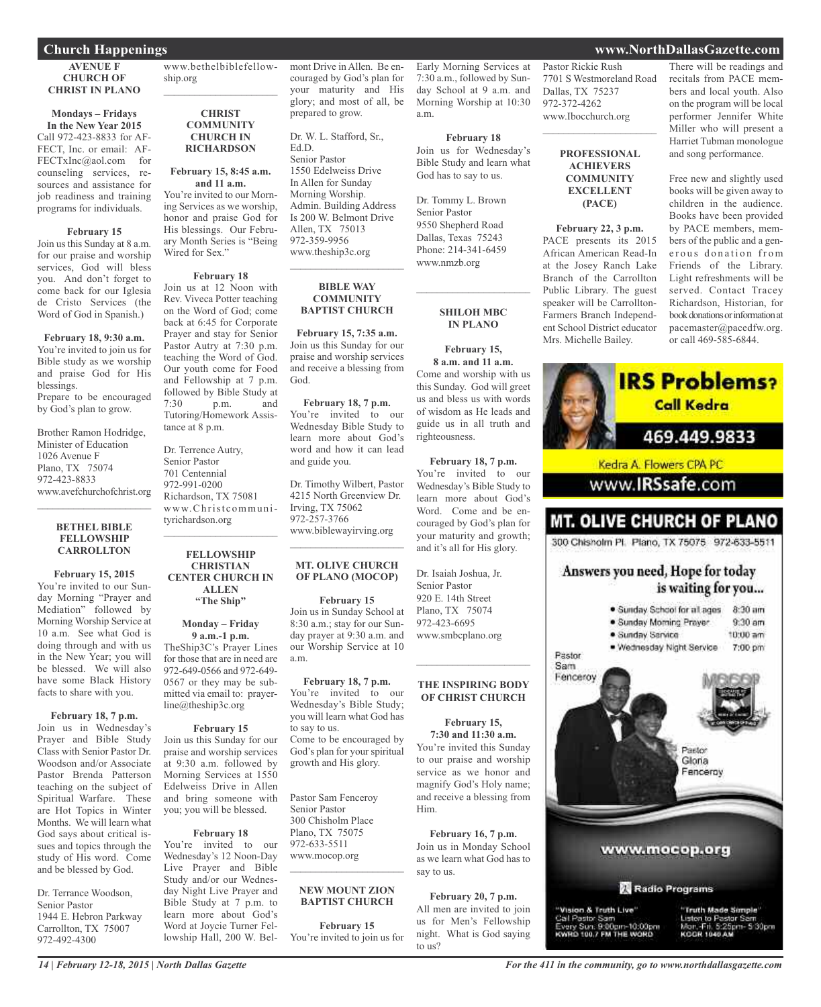### **AVENUE F CHURCH OF CHRIST IN PLANO**

# **Mondays – Fridays**

**In the New Year 2015** Call 972-423-8833 for AF-FECT, Inc. or email: AF-FECTxInc@aol.com for counseling services, resources and assistance for job readiness and training programs for individuals.

### **February 15**

Join us this Sunday at 8 a.m. for our praise and worship services, God will bless you. And don't forget to come back for our Iglesia de Cristo Services (the Word of God in Spanish.)

**February 18, 9:30 a.m.** You're invited to join us for Bible study as we worship and praise God for His blessings. Prepare to be encouraged by God's plan to grow.

Brother Ramon Hodridge, Minister of Education 1026 Avenue F Plano, TX 75074 972-423-8833 www.avefchurchofchrist.org

### **BETHEL BIBLE FELLOWSHIP CARROLLTON**

 $\mathcal{L}_\text{max}$  and  $\mathcal{L}_\text{max}$  and  $\mathcal{L}_\text{max}$ 

**February 15, 2015** You're invited to our Sunday Morning "Prayer and Mediation" followed by Morning Worship Service at 10 a.m. See what God is doing through and with us in the New Year; you will be blessed. We will also have some Black History facts to share with you.

### **February 18, 7 p.m.**

Join us in Wednesday's Prayer and Bible Study Class with Senior Pastor Dr. Woodson and/or Associate Pastor Brenda Patterson teaching on the subject of Spiritual Warfare. These are Hot Topics in Winter Months. We will learn what God says about critical issues and topics through the study of His word. Come and be blessed by God.

Dr. Terrance Woodson, Senior Pastor 1944 E. Hebron Parkway Carrollton, TX 75007 972-492-4300

www.bethelbiblefellowship.org  $\mathcal{L}_\text{max}$  , which is a set of the set of the set of the set of the set of the set of the set of the set of the set of the set of the set of the set of the set of the set of the set of the set of the set of the set of

### **CHRIST COMMUNITY CHURCH IN RICHARDSON**

### **February 15, 8:45 a.m. and 11 a.m.**

You're invited to our Morning Services as we worship, honor and praise God for His blessings. Our February Month Series is "Being Wired for Sex."

### **February 18**

Join us at 12 Noon with Rev. Viveca Potter teaching on the Word of God; come back at 6:45 for Corporate Prayer and stay for Senior Pastor Autry at 7:30 p.m. teaching the Word of God. Our youth come for Food and Fellowship at 7 p.m. followed by Bible Study at<br>7:30 p.m. and p.m. and Tutoring/Homework Assistance at 8 p.m.

Dr. Terrence Autry, Senior Pastor 701 Centennial 972-991-0200 Richardson, TX 75081 www.Christcommunityrichardson.org  $\mathcal{L}_\text{max}$  and  $\mathcal{L}_\text{max}$  and  $\mathcal{L}_\text{max}$ 

### **FELLOWSHIP CHRISTIAN CENTER CHURCH IN ALLEN "The Ship"**

### **Monday – Friday 9 a.m.-1 p.m.**

TheShip3C's Prayer Lines for those that are in need are 972-649-0566 and 972-649- 0567 or they may be submitted via email to: prayerline@theship3c.org

### **February 15**

Join us this Sunday for our praise and worship services at 9:30 a.m. followed by Morning Services at 1550 Edelweiss Drive in Allen and bring someone with you; you will be blessed.

### **February 18**

You're invited to our Wednesday's 12 Noon-Day Live Prayer and Bible Study and/or our Wednesday Night Live Prayer and Bible Study at 7 p.m. to learn more about God's Word at Joycie Turner Fellowship Hall, 200 W. Belmont Drive in Allen. Be encouraged by God's plan for your maturity and His glory; and most of all, be prepared to grow.

Dr. W. L. Stafford, Sr., Ed.D. Senior Pastor 1550 Edelweiss Drive In Allen for Sunday Morning Worship. Admin. Building Address Is 200 W. Belmont Drive Allen, TX 75013 972-359-9956 www.theship3c.org

### **BIBLE WAY COMMUNITY BAPTIST CHURCH**

 $\overline{\phantom{a}}$  , and the set of the set of the set of the set of the set of the set of the set of the set of the set of the set of the set of the set of the set of the set of the set of the set of the set of the set of the s

**February 15, 7:35 a.m.** Join us this Sunday for our praise and worship services and receive a blessing from God.

**February 18, 7 p.m.** You're invited to our Wednesday Bible Study to learn more about God's word and how it can lead and guide you.

Dr. Timothy Wilbert, Pastor 4215 North Greenview Dr. Irving, TX 75062 972-257-3766 www.biblewayirving.org  $\overline{\phantom{a}}$  , and the set of the set of the set of the set of the set of the set of the set of the set of the set of the set of the set of the set of the set of the set of the set of the set of the set of the set of the s

### **MT. OLIVE CHURCH OF PLANO (MOCOP)**

### **February 15**

Join us in Sunday School at 8:30 a.m.; stay for our Sunday prayer at 9:30 a.m. and our Worship Service at 10 a.m.

### **February 18, 7 p.m.**

You're invited to our Wednesday's Bible Study; you will learn what God has to say to us. Come to be encouraged by God's plan for your spiritual growth and His glory.

Pastor Sam Fenceroy Senior Pastor 300 Chisholm Place Plano, TX 75075 972-633-5511 www.mocop.org  $\overline{\phantom{a}}$  , and the set of the set of the set of the set of the set of the set of the set of the set of the set of the set of the set of the set of the set of the set of the set of the set of the set of the set of the s

### **NEW MOUNT ZION BAPTIST CHURCH**

**February 15** You're invited to join us for

Early Morning Services at 7:30 a.m., followed by Sunday School at 9 a.m. and Morning Worship at 10:30 a.m.

### **February 18** Join us for Wednesday's

Bible Study and learn what God has to say to us. Dr. Tommy L. Brown Senior Pastor 9550 Shepherd Road Dallas, Texas 75243 Phone: 214-341-6459

www.nmzb.org

### **SHILOH MBC IN PLANO**

 $\mathcal{L}$  , and the set of the set of the set of the set of the set of the set of the set of the set of the set of the set of the set of the set of the set of the set of the set of the set of the set of the set of the set

**February 15, 8 a.m. and 11 a.m.** Come and worship with us this Sunday. God will greet us and bless us with words of wisdom as He leads and guide us in all truth and righteousness.

**February 18, 7 p.m.** You're invited to our Wednesday's Bible Study to learn more about God's Word. Come and be encouraged by God's plan for your maturity and growth; and it's all for His glory.

Dr. Isaiah Joshua, Jr. Senior Pastor 920 E. 14th Street Plano, TX 75074 972-423-6695 www.smbcplano.org

### **THE INSPIRING BODY OF CHRIST CHURCH**

 $\mathcal{L}$  , and the set of the set of the set of the set of the set of the set of the set of the set of the set of the set of the set of the set of the set of the set of the set of the set of the set of the set of the set

**February 15, 7:30 and 11:30 a.m.** You're invited this Sunday to our praise and worship service as we honor and magnify God's Holy name; and receive a blessing from Him.

**February 16, 7 p.m.** Join us in Monday School as we learn what God has to say to us.

**February 20, 7 p.m.** All men are invited to join us for Men's Fellowship night. What is God saying to us?

Pastor Rickie Rush 7701 S Westmoreland Road Dallas, TX 75237 972-372-4262 www.Ibocchurch.org

 $\mathcal{L}_\text{max}$  , which is a set of the set of the set of the set of the set of the set of the set of the set of the set of the set of the set of the set of the set of the set of the set of the set of the set of the set of

**PROFESSIONAL ACHIEVERS COMMUNITY EXCELLENT (PACE)**

### **February 22, 3 p.m.**

PACE presents its 2015 African American Read-In at the Josey Ranch Lake Branch of the Carrollton Public Library. The guest speaker will be Carrollton-Farmers Branch Independent School District educator Mrs. Michelle Bailey.

### There will be readings and recitals from PACE members and local youth. Also on the program will be local performer Jennifer White Miller who will present a Harriet Tubman monologue and song performance.

Free new and slightly used books will be given away to children in the audience. Books have been provided by PACE members, members of the public and a generous donation from Friends of the Library. Light refreshments will be served. Contact Tracey Richardson, Historian, for book donations or information at pacemaster@pacedfw.org. or call 469-585-6844.



# **Church Happenings www.NorthDallasGazette.com**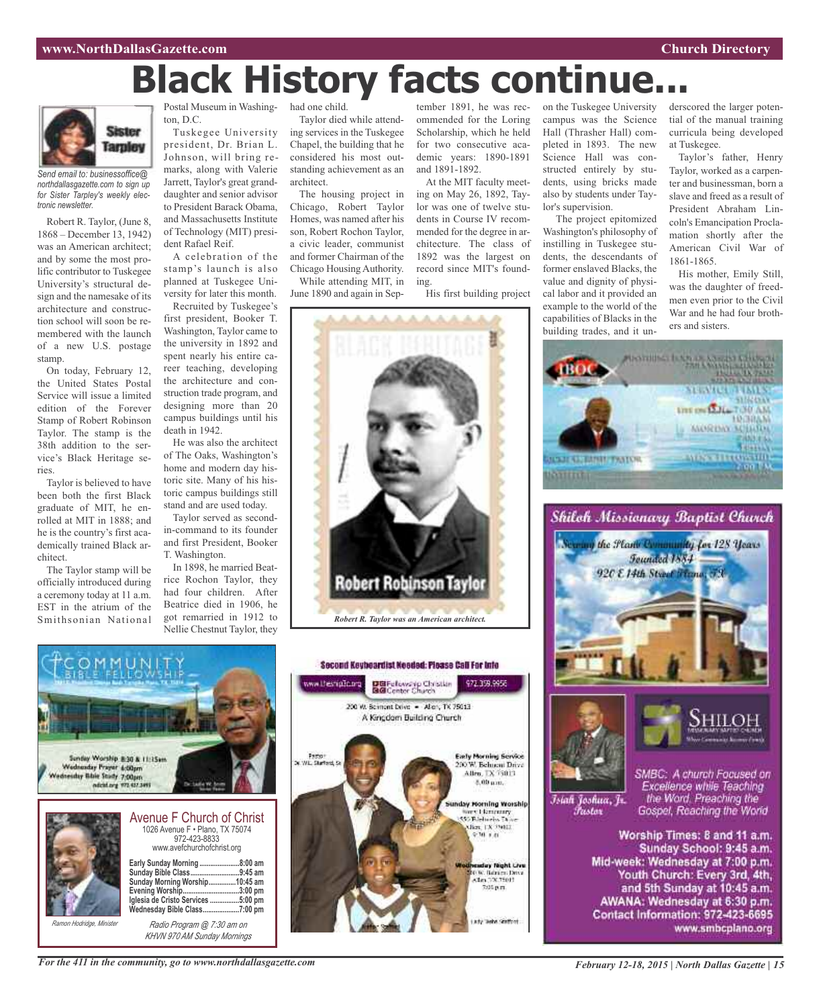# **Black History facts continue**



*Send email to: businessoffice@ northdallasgazette.com to sign up for Sister Tarpley's weekly electronic newsletter.*

Robert R. Taylor, (June 8, 1868 – December 13, 1942) was an American architect; and by some the most prolific contributor to Tuskegee University's structural design and the namesake of its architecture and construction school will soon be remembered with the launch of a new U.S. postage stamp.

On today, February 12, the United States Postal Service will issue a limited edition of the Forever Stamp of Robert Robinson Taylor. The stamp is the 38th addition to the service's Black Heritage series.

Taylor is believed to have been both the first Black graduate of MIT, he enrolled at MIT in 1888; and he is the country's first academically trained Black architect.

The Taylor stamp will be officially introduced during a ceremony today at 11 a.m. EST in the atrium of the Smithsonian National

Postal Museum in Washington, D.C.

Tuskegee University president, Dr. Brian L. Johnson, will bring remarks, along with Valerie Jarrett, Taylor's great granddaughter and senior advisor to President Barack Obama, and Massachusetts Institute of Technology (MIT) president Rafael Reif.

A celebration of the stamp's launch is also planned at Tuskegee University for later this month.

Recruited by Tuskegee's first president, Booker T. Washington, Taylor came to the university in 1892 and spent nearly his entire career teaching, developing the architecture and construction trade program, and designing more than 20 campus buildings until his death in 1942.

He was also the architect of The Oaks, Washington's home and modern day historic site. Many of his historic campus buildings still stand and are used today.

Taylor served as secondin-command to its founder and first President, Booker T. Washington.

In 1898, he married Beatrice Rochon Taylor, they had four children. After Beatrice died in 1906, he got remarried in 1912 to Nellie Chestnut Taylor, they

### had one child.

Taylor died while attending services in the Tuskegee Chapel, the building that he considered his most outstanding achievement as an architect.

The housing project in Chicago, Robert Taylor Homes, was named after his son, Robert Rochon Taylor, a civic leader, communist and former Chairman of the Chicago Housing Authority. While attending MIT, in

June 1890 and again in Sep-

tember 1891, he was recommended for the Loring Scholarship, which he held for two consecutive academic years: 1890-1891 and 1891-1892.

At the MIT faculty meeting on May 26, 1892, Taylor was one of twelve students in Course IV recommended for the degree in architecture. The class of 1892 was the largest on record since MIT's founding.

His first building project

on the Tuskegee University campus was the Science Hall (Thrasher Hall) completed in 1893. The new Science Hall was constructed entirely by students, using bricks made also by students under Taylor's supervision.

The project epitomized Washington's philosophy of instilling in Tuskegee students, the descendants of former enslaved Blacks, the value and dignity of physical labor and it provided an example to the world of the capabilities of Blacks in the building trades, and it underscored the larger potential of the manual training curricula being developed at Tuskegee.

Taylor's father, Henry Taylor, worked as a carpenter and businessman, born a slave and freed as a result of President Abraham Lincoln's Emancipation Proclamation shortly after the American Civil War of 1861-1865.

His mother, Emily Still, was the daughter of freedmen even prior to the Civil War and he had four brothers and sisters.

**SPEARCH JUBAL UPE ON LALE TO UAM** 

**MORDAY MILLION** 

**HEGHAM** 

**PUSSED OF A PARTY AND INCOME.** 





*KHVN 970 AM Sunday Mornings*







Islah Joshua, Jr.

Fustor

SMBC: A church Focused on Excellence while Teaching<br>the Word, Preaching the Gospel, Reaching the World

Worship Times: 8 and 11 a.m. Sunday School: 9:45 a.m. Mid-week: Wednesday at 7:00 p.m. Youth Church: Every 3rd, 4th, and 5th Sunday at 10:45 a.m. AWANA: Wednesday at 6:30 p.m. Contact Information: 972-423-6695 www.smbcplano.org